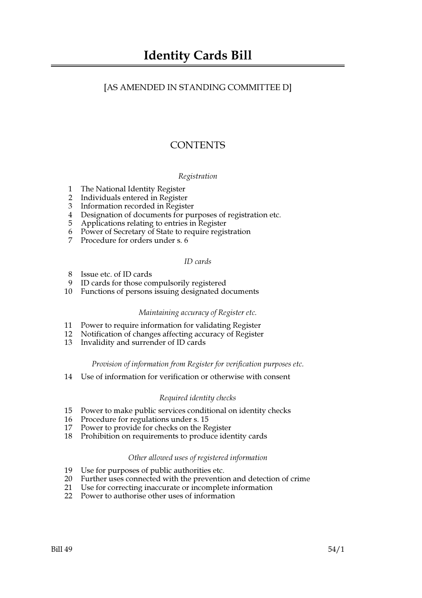# [AS AMENDED IN STANDING COMMITTEE D]

# **CONTENTS**

# Registration

- 1 The National Identity Register
- 2 Individuals entered in Register
- 3 Information recorded in Register
- 4 Designation of documents for purposes of registration etc.<br>5 Applications relating to entries in Register<br>6 Power of Secretary of State to require registration
- 
- 
- 7 Procedure for orders under s. 6

### $ID$  cards

- 8 Issue etc. of ID cards
- 9 ID cards for those compulsorily registered
- 10 Functions of persons issuing designated documents

# Maintaining accuracy of Register etc.

- Power to require information for validating Register 11
- 12 Notification of changes affecting accuracy of Register
- 13 Invalidity and surrender of ID cards

# Provision of information from Register for verification purposes etc.

14 Use of information for verification or otherwise with consent

# Required identity checks

- 15 Power to make public services conditional on identity checks
- 16 Procedure for regulations under s. 15
- 17 Power to provide for checks on the Register
- 18 Prohibition on requirements to produce identity cards

# Other allowed uses of registered information

- 19 Use for purposes of public authorities etc.
- 20 Further uses connected with the prevention and detection of crime
- 21 Use for correcting inaccurate or incomplete information
- 22 Power to authorise other uses of information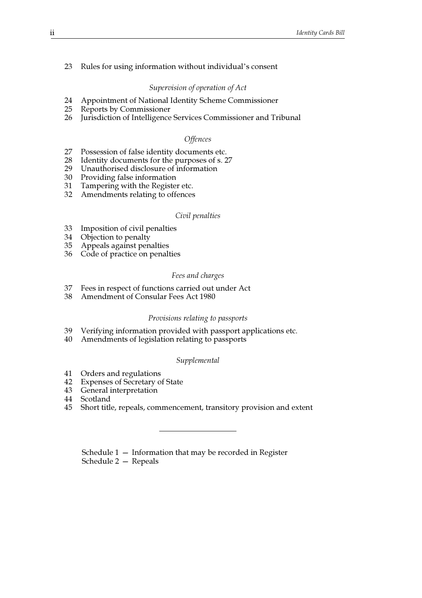### 23 Rules for using information without individual's consent

### Supervision of operation of Act

- 24 Appointment of National Identity Scheme Commissioner
- 25 **Reports by Commissioner**
- 26 Jurisdiction of Intelligence Services Commissioner and Tribunal

### *Offences*

- 27 Possession of false identity documents etc.
- 28 Identity documents for the purposes of s. 27
- 29 Unauthorised disclosure of information
- 30 Providing false information
- 31 Tampering with the Register etc.
- 32 Amendments relating to offences

### Civil penalties

- 33 Imposition of civil penalties
- 34 Objection to penalty
- 35 Appeals against penalties
- 36 Code of practice on penalties

### Fees and charges

- 37 Fees in respect of functions carried out under Act
- 38 Amendment of Consular Fees Act 1980

### Provisions relating to passports

- 39 Verifying information provided with passport applications etc.
- 40 Amendments of legislation relating to passports

### Supplemental

- 41 Orders and regulations
- 42 **Expenses of Secretary of State**
- 43 General interpretation
- 44 Scotland
- 45 Short title, repeals, commencement, transitory provision and extent

Schedule  $1$  – Information that may be recorded in Register Schedule 2 - Repeals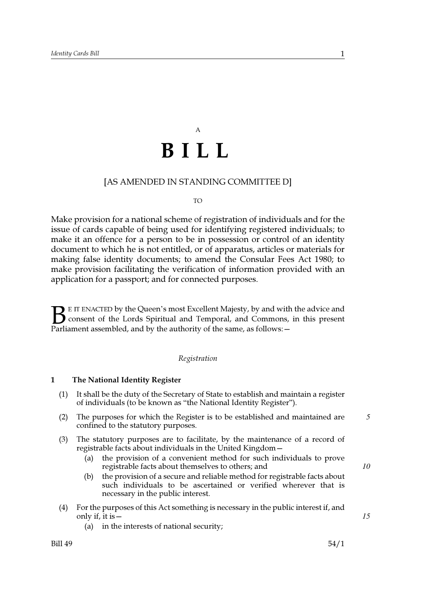# $\overline{A}$ BILL

# [AS AMENDED IN STANDING COMMITTEE D]

### $T<sub>O</sub>$

Make provision for a national scheme of registration of individuals and for the issue of cards capable of being used for identifying registered individuals; to make it an offence for a person to be in possession or control of an identity document to which he is not entitled, or of apparatus, articles or materials for making false identity documents; to amend the Consular Fees Act 1980; to make provision facilitating the verification of information provided with an application for a passport; and for connected purposes.

E IT ENACTED by the Queen's most Excellent Majesty, by and with the advice and consent of the Lords Spiritual and Temporal, and Commons, in this present Parliament assembled, and by the authority of the same, as follows: -

### Registration

#### $\mathbf{1}$ The National Identity Register

- $(1)$ It shall be the duty of the Secretary of State to establish and maintain a register of individuals (to be known as "the National Identity Register").
- The purposes for which the Register is to be established and maintained are  $(2)$ confined to the statutory purposes.
- The statutory purposes are to facilitate, by the maintenance of a record of  $(3)$ registrable facts about individuals in the United Kingdom
	- the provision of a convenient method for such individuals to prove  $(a)$ registrable facts about themselves to others; and
	- the provision of a secure and reliable method for registrable facts about (b) such individuals to be ascertained or verified wherever that is necessary in the public interest.
- For the purposes of this Act something is necessary in the public interest if, and  $(4)$ only if, it is  $-$ 
	- (a) in the interests of national security;

5

 $1.5$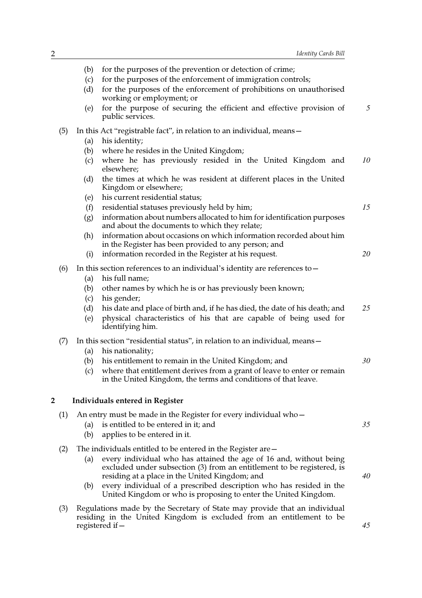|     | (b)<br>(c)<br>(d)<br>(e) | for the purposes of the prevention or detection of crime;<br>for the purposes of the enforcement of immigration controls;<br>for the purposes of the enforcement of prohibitions on unauthorised<br>working or employment; or<br>for the purpose of securing the efficient and effective provision of | 5  |
|-----|--------------------------|-------------------------------------------------------------------------------------------------------------------------------------------------------------------------------------------------------------------------------------------------------------------------------------------------------|----|
|     |                          | public services.                                                                                                                                                                                                                                                                                      |    |
| (5) |                          | In this Act "registrable fact", in relation to an individual, means-                                                                                                                                                                                                                                  |    |
|     | (a)                      | his identity;                                                                                                                                                                                                                                                                                         |    |
|     | (b)                      | where he resides in the United Kingdom;                                                                                                                                                                                                                                                               |    |
|     | (c)                      | where he has previously resided in the United Kingdom and<br>elsewhere;                                                                                                                                                                                                                               | 10 |
|     | (d)                      | the times at which he was resident at different places in the United<br>Kingdom or elsewhere;                                                                                                                                                                                                         |    |
|     | (e)                      | his current residential status;                                                                                                                                                                                                                                                                       |    |
|     | (f)                      | residential statuses previously held by him;                                                                                                                                                                                                                                                          | 15 |
|     | (g)                      | information about numbers allocated to him for identification purposes<br>and about the documents to which they relate;                                                                                                                                                                               |    |
|     | (h)                      | information about occasions on which information recorded about him<br>in the Register has been provided to any person; and                                                                                                                                                                           |    |
|     | (i)                      | information recorded in the Register at his request.                                                                                                                                                                                                                                                  | 20 |
| (6) |                          | In this section references to an individual's identity are references to $-$                                                                                                                                                                                                                          |    |
|     | (a)                      | his full name;                                                                                                                                                                                                                                                                                        |    |
|     | (b)                      | other names by which he is or has previously been known;                                                                                                                                                                                                                                              |    |
|     | (c)                      | his gender;                                                                                                                                                                                                                                                                                           |    |
|     | (d)<br>(e)               | his date and place of birth and, if he has died, the date of his death; and<br>physical characteristics of his that are capable of being used for<br>identifying him.                                                                                                                                 | 25 |
| (7) |                          | In this section "residential status", in relation to an individual, means-                                                                                                                                                                                                                            |    |
|     | (a)                      | his nationality;                                                                                                                                                                                                                                                                                      |    |
|     | (b)                      | his entitlement to remain in the United Kingdom; and                                                                                                                                                                                                                                                  | 30 |
|     | (c)                      | where that entitlement derives from a grant of leave to enter or remain<br>in the United Kingdom, the terms and conditions of that leave.                                                                                                                                                             |    |
|     |                          | Individuals entered in Register                                                                                                                                                                                                                                                                       |    |
| (1) |                          | An entry must be made in the Register for every individual who –                                                                                                                                                                                                                                      |    |
|     | (a)                      | is entitled to be entered in it; and                                                                                                                                                                                                                                                                  | 35 |
|     | (b)                      | applies to be entered in it.                                                                                                                                                                                                                                                                          |    |
| (2) |                          | The individuals entitled to be entered in the Register are $-$                                                                                                                                                                                                                                        |    |
|     | (a)                      | every individual who has attained the age of 16 and, without being<br>excluded under subsection (3) from an entitlement to be registered, is<br>residing at a place in the United Kingdom; and                                                                                                        | 40 |
|     | (b)                      | every individual of a prescribed description who has resided in the<br>United Kingdom or who is proposing to enter the United Kingdom.                                                                                                                                                                |    |
| (3) |                          | Regulations made by the Secretary of State may provide that an individual                                                                                                                                                                                                                             |    |

 $(3)$ resolution man by the bettering of blate may provide that all multitudial<br>residing in the United Kingdom is excluded from an entitlement to be<br>registered if—

 $\overline{2}$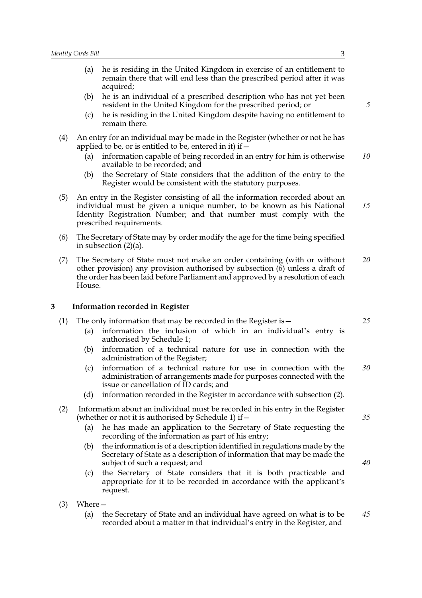- he is residing in the United Kingdom in exercise of an entitlement to  $(a)$ remain there that will end less than the prescribed period after it was acquired;
- he is an individual of a prescribed description who has not yet been  $(b)$ resident in the United Kingdom for the prescribed period; or
- he is residing in the United Kingdom despite having no entitlement to  $(c)$ remain there.
- (4) An entry for an individual may be made in the Register (whether or not he has applied to be, or is entitled to be, entered in it) if  $$ 
	- information capable of being recorded in an entry for him is otherwise  $10<sup>2</sup>$  $(a)$ available to be recorded; and
	- the Secretary of State considers that the addition of the entry to the  $(b)$ Register would be consistent with the statutory purposes.
- (5) An entry in the Register consisting of all the information recorded about an individual must be given a unique number, to be known as his National  $15$ Identity Registration Number; and that number must comply with the prescribed requirements.
- The Secretary of State may by order modify the age for the time being specified  $(6)$ in subsection  $(2)(a)$ .
- 20 The Secretary of State must not make an order containing (with or without  $(7)$ other provision) any provision authorised by subsection  $(6)$  unless a draft of the order has been laid before Parliament and approved by a resolution of each House.

#### $\overline{3}$ **Information recorded in Register**

- The only information that may be recorded in the Register is - $(1)$ 
	- information the inclusion of which in an individual's entry is  $(a)$ authorised by Schedule 1;
	- information of a technical nature for use in connection with the (b) administration of the Register;
	- information of a technical nature for use in connection with the 30  $(c)$ administration of arrangements made for purposes connected with the issue or cancellation of ID cards; and
	- (d) information recorded in the Register in accordance with subsection (2).
- Information about an individual must be recorded in his entry in the Register  $(2)$ (whether or not it is authorised by Schedule 1) if
	- he has made an application to the Secretary of State requesting the  $(a)$ recording of the information as part of his entry;
	- the information is of a description identified in regulations made by the  $(b)$ Secretary of State as a description of information that may be made the subject of such a request; and
	- the Secretary of State considers that it is both practicable and  $(c)$ appropriate for it to be recorded in accordance with the applicant's request.
- $(3)$  Where -
	- 45 the Secretary of State and an individual have agreed on what is to be  $(a)$ recorded about a matter in that individual's entry in the Register, and

5

35

25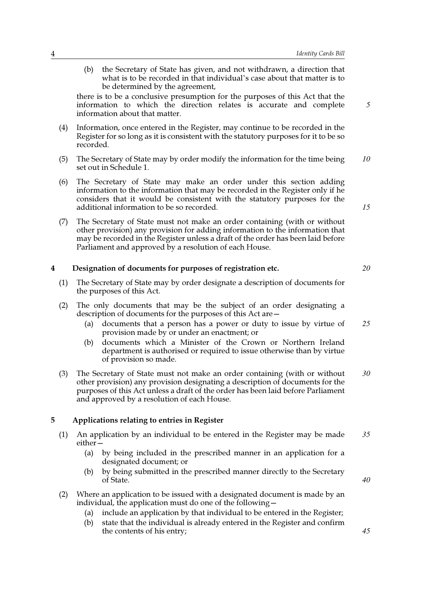$(b)$ the Secretary of State has given, and not withdrawn, a direction that what is to be recorded in that individual's case about that matter is to be determined by the agreement,

there is to be a conclusive presumption for the purposes of this Act that the information to which the direction relates is accurate and complete information about that matter.

- Information, once entered in the Register, may continue to be recorded in the  $(4)$ Register for so long as it is consistent with the statutory purposes for it to be so recorded.
- $(5)$ The Secretary of State may by order modify the information for the time being 10 set out in Schedule 1.
- $(6)$ The Secretary of State may make an order under this section adding information to the information that may be recorded in the Register only if he considers that it would be consistent with the statutory purposes for the additional information to be so recorded.
- The Secretary of State must not make an order containing (with or without  $(7)$ other provision) any provision for adding information to the information that may be recorded in the Register unless a draft of the order has been laid before Parliament and approved by a resolution of each House.

#### $\boldsymbol{4}$ Designation of documents for purposes of registration etc.

- $(1)$ The Secretary of State may by order designate a description of documents for the purposes of this Act.
- The only documents that may be the subject of an order designating a  $(2)$ description of documents for the purposes of this Act are-
	- (a) documents that a person has a power or duty to issue by virtue of  $25$ provision made by or under an enactment; or
	- documents which a Minister of the Crown or Northern Ireland  $(b)$ department is authorised or required to issue otherwise than by virtue of provision so made.
- The Secretary of State must not make an order containing (with or without 30  $(3)$ other provision) any provision designating a description of documents for the purposes of this Act unless a draft of the order has been laid before Parliament and approved by a resolution of each House.

#### 5 Applications relating to entries in Register

- An application by an individual to be entered in the Register may be made 35  $(1)$  $either -$ 
	- (a) by being included in the prescribed manner in an application for a designated document; or
	- by being submitted in the prescribed manner directly to the Secretary (b) of State.
- Where an application to be issued with a designated document is made by an  $(2)$ individual, the application must do one of the following -
	- (a) include an application by that individual to be entered in the Register;
	- state that the individual is already entered in the Register and confirm  $(b)$ the contents of his entry;

20

 $15$ 

5

 $40<sup>2</sup>$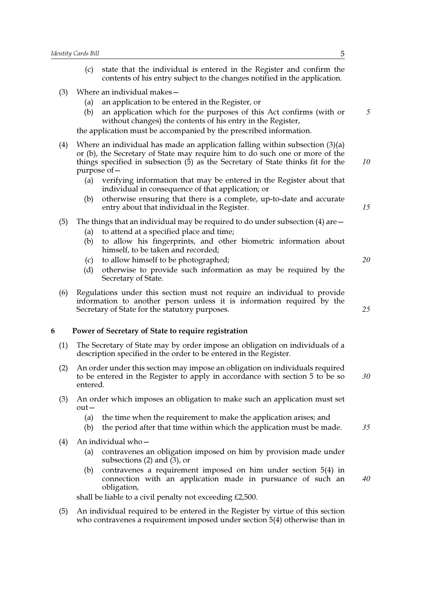- (c) state that the individual is entered in the Register and confirm the contents of his entry subject to the changes notified in the application.
- $(3)$  Where an individual makes
	- an application to be entered in the Register, or  $(a)$
	- an application which for the purposes of this Act confirms (with or  $(b)$ without changes) the contents of his entry in the Register,

the application must be accompanied by the prescribed information.

- Where an individual has made an application falling within subsection  $(3)(a)$  $(4)$ or (b), the Secretary of State may require him to do such one or more of the things specified in subsection (5) as the Secretary of State thinks fit for the purpose of  $$ 
	- verifying information that may be entered in the Register about that  $(a)$ individual in consequence of that application; or
	- otherwise ensuring that there is a complete, up-to-date and accurate (b) entry about that individual in the Register.

### (5) The things that an individual may be required to do under subsection (4) are  $-$

- to attend at a specified place and time;  $(a)$
- to allow his fingerprints, and other biometric information about  $(b)$ himself, to be taken and recorded;
- to allow himself to be photographed;  $(c)$
- otherwise to provide such information as may be required by the  $(d)$ Secretary of State.
- (6) Regulations under this section must not require an individual to provide information to another person unless it is information required by the Secretary of State for the statutory purposes.

#### Power of Secretary of State to require registration 6

- The Secretary of State may by order impose an obligation on individuals of a  $(1)$ description specified in the order to be entered in the Register.
- An order under this section may impose an obligation on individuals required  $(2)$ to be entered in the Register to apply in accordance with section 5 to be so 30 entered.
- $(3)$ An order which imposes an obligation to make such an application must set  $out-$ 
	- $(a)$ the time when the requirement to make the application arises; and
	- the period after that time within which the application must be made. 35 (b)
- $(4)$  An individual who-
	- $(a)$ contravenes an obligation imposed on him by provision made under subsections  $(2)$  and  $(3)$ , or
	- contravenes a requirement imposed on him under section 5(4) in  $(b)$ connection with an application made in pursuance of such an obligation,

shall be liable to a civil penalty not exceeding £2,500.

An individual required to be entered in the Register by virtue of this section  $(5)$ who contravenes a requirement imposed under section 5(4) otherwise than in

20

5

 $10<sup>2</sup>$ 

 $15$ 

25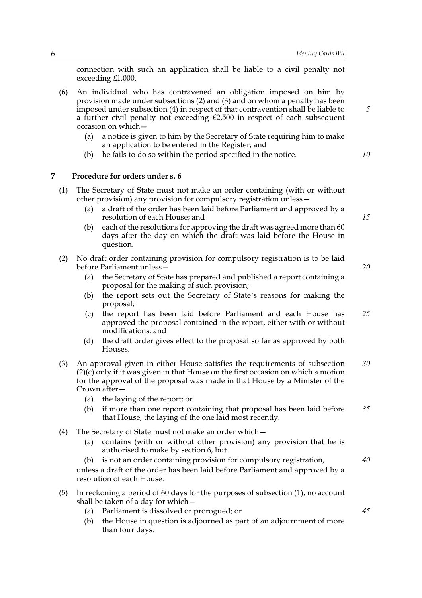connection with such an application shall be liable to a civil penalty not exceeding £1,000.

- An individual who has contravened an obligation imposed on him by  $(6)$ provision made under subsections (2) and (3) and on whom a penalty has been imposed under subsection (4) in respect of that contravention shall be liable to a further civil penalty not exceeding  $£2,500$  in respect of each subsequent occasion on which-
	- (a) a notice is given to him by the Secretary of State requiring him to make an application to be entered in the Register; and
	- he fails to do so within the period specified in the notice.  $(b)$

#### Procedure for orders under s. 6  $\overline{7}$

- The Secretary of State must not make an order containing (with or without  $(1)$ other provision) any provision for compulsory registration unless
	- a draft of the order has been laid before Parliament and approved by a  $(a)$ resolution of each House; and
	- each of the resolutions for approving the draft was agreed more than 60  $(b)$ days after the day on which the draft was laid before the House in question.
- No draft order containing provision for compulsory registration is to be laid  $(2)$ before Parliament unless
	- the Secretary of State has prepared and published a report containing a  $(a)$ proposal for the making of such provision;
	- the report sets out the Secretary of State's reasons for making the  $(b)$ proposal;
	- $(c)$ the report has been laid before Parliament and each House has 25 approved the proposal contained in the report, either with or without modifications; and
	- the draft order gives effect to the proposal so far as approved by both  $(d)$ Houses.
- $(3)$ An approval given in either House satisfies the requirements of subsection 30  $(2)(c)$  only if it was given in that House on the first occasion on which a motion for the approval of the proposal was made in that House by a Minister of the Crown after-
	- (a) the laying of the report; or
	- if more than one report containing that proposal has been laid before 35  $(b)$ that House, the laying of the one laid most recently.

# (4) The Secretary of State must not make an order which -

- contains (with or without other provision) any provision that he is  $(a)$ authorised to make by section 6, but
- (b) is not an order containing provision for compulsory registration,

unless a draft of the order has been laid before Parliament and approved by a resolution of each House.

- In reckoning a period of 60 days for the purposes of subsection  $(1)$ , no account  $(5)$ shall be taken of a day for which -
	- (a) Parliament is dissolved or prorogued; or
	- $(b)$ the House in question is adjourned as part of an adjournment of more than four days.

15

20

40

45

 $\overline{5}$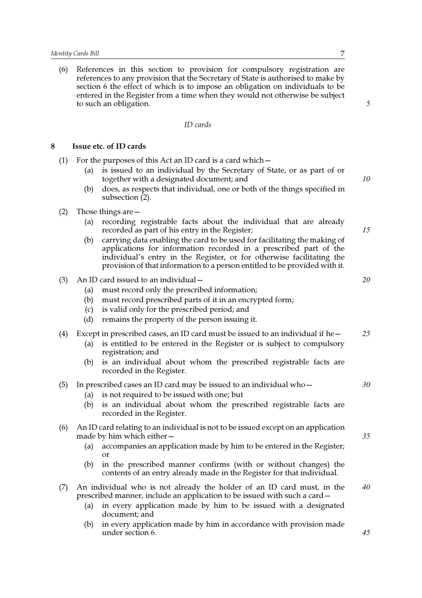References in this section to provision for compulsory registration are  $(6)$ references to any provision that the Secretary of State is authorised to make by section 6 the effect of which is to impose an obligation on individuals to be entered in the Register from a time when they would not otherwise be subject to such an obligation.

### $ID$  cards

#### 8 Issue etc. of ID cards

- (1) For the purposes of this Act an ID card is a card which  $$ 
	- is issued to an individual by the Secretary of State, or as part of or  $(a)$ together with a designated document; and
	- $(b)$ does, as respects that individual, one or both of the things specified in subsection (2).
- $(2)$  Those things are  $$ 
	- recording registrable facts about the individual that are already  $(a)$ recorded as part of his entry in the Register;
	- carrying data enabling the card to be used for facilitating the making of (b) applications for information recorded in a prescribed part of the individual's entry in the Register, or for otherwise facilitating the provision of that information to a person entitled to be provided with it.
- $(3)$  An ID card issued to an individual
	- (a) must record only the prescribed information;
	- must record prescribed parts of it in an encrypted form; (b)
	- is valid only for the prescribed period; and  $(c)$
	- remains the property of the person issuing it.  $(d)$

#### (4) Except in prescribed cases, an ID card must be issued to an individual if he  $-$ 25

- is entitled to be entered in the Register or is subject to compulsory  $(a)$ registration; and
- is an individual about whom the prescribed registrable facts are  $(b)$ recorded in the Register.

# (5) In prescribed cases an ID card may be issued to an individual who $-$

- is not required to be issued with one; but  $(a)$
- is an individual about whom the prescribed registrable facts are  $(b)$ recorded in the Register.
- $(6)$ An ID card relating to an individual is not to be issued except on an application made by him which either  $-$ 
	- $(a)$ accompanies an application made by him to be entered in the Register;  $\alpha$ <sup>r</sup>
	- in the prescribed manner confirms (with or without changes) the  $(b)$ contents of an entry already made in the Register for that individual.
- An individual who is not already the holder of an ID card must, in the 40  $(7)$ prescribed manner, include an application to be issued with such a card –
	- in every application made by him to be issued with a designated  $(a)$ document: and
	- in every application made by him in accordance with provision made (b) under section 6.

 $\overline{7}$ 

5

 $15$ 

 $10<sup>2</sup>$ 

20

30

35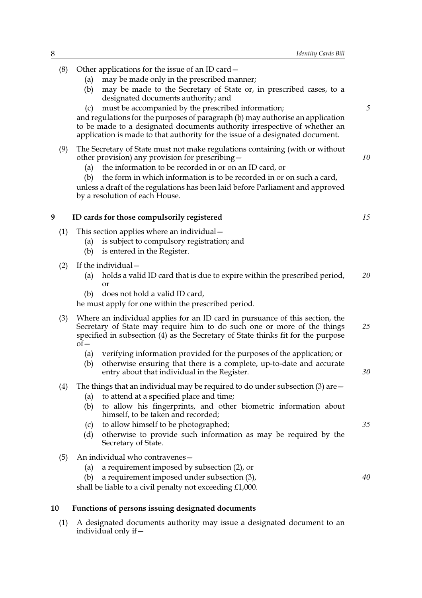- (8) Other applications for the issue of an ID card  $$ 
	- may be made only in the prescribed manner;  $(a)$
	- may be made to the Secretary of State or, in prescribed cases, to a  $(b)$ designated documents authority; and
	- must be accompanied by the prescribed information;  $(c)$

and regulations for the purposes of paragraph (b) may authorise an application to be made to a designated documents authority irrespective of whether an application is made to that authority for the issue of a designated document.

- $(9)$ The Secretary of State must not make regulations containing (with or without other provision) any provision for prescribing-
	- (a) the information to be recorded in or on an ID card, or
	- the form in which information is to be recorded in or on such a card.  $(b)$

unless a draft of the regulations has been laid before Parliament and approved by a resolution of each House.

#### 9 ID cards for those compulsorily registered

- (1) This section applies where an individual  $-$ 
	- (a) is subject to compulsory registration; and
	- (b) is entered in the Register.
- $(2)$  If the individual
	- holds a valid ID card that is due to expire within the prescribed period, 20  $(a)$  $\alpha$ <sup>r</sup>
	- does not hold a valid ID card,  $(b)$

he must apply for one within the prescribed period.

- Where an individual applies for an ID card in pursuance of this section, the  $(3)$ 25 Secretary of State may require him to do such one or more of the things specified in subsection (4) as the Secretary of State thinks fit for the purpose  $of-$ 
	- (a) verifying information provided for the purposes of the application; or
	- otherwise ensuring that there is a complete, up-to-date and accurate (b) entry about that individual in the Register.

# (4) The things that an individual may be required to do under subsection (3) are  $-$

- $(a)$ to attend at a specified place and time;
- to allow his fingerprints, and other biometric information about  $(b)$ himself, to be taken and recorded;
- to allow himself to be photographed;  $(c)$
- otherwise to provide such information as may be required by the  $(d)$ Secretary of State.
- (5) An individual who contravenes
	- a requirement imposed by subsection (2), or  $(a)$
	- a requirement imposed under subsection (3),  $(b)$

shall be liable to a civil penalty not exceeding £1,000.

#### $10<sup>1</sup>$ Functions of persons issuing designated documents

A designated documents authority may issue a designated document to an  $(1)$ individual only if -

15

 $\overline{5}$ 

 $10<sup>2</sup>$ 

35

40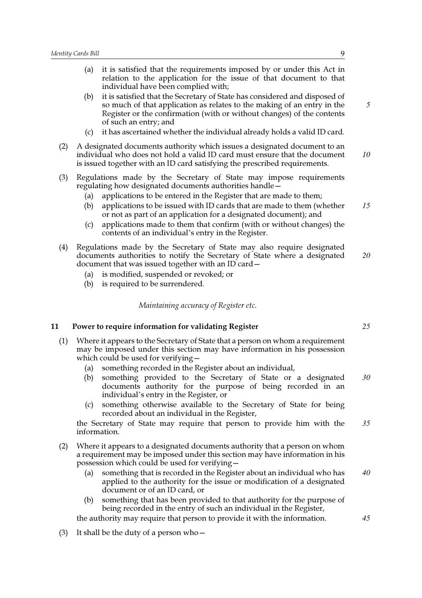- it is satisfied that the requirements imposed by or under this Act in  $(a)$ relation to the application for the issue of that document to that individual have been complied with;
- it is satisfied that the Secretary of State has considered and disposed of (b) so much of that application as relates to the making of an entry in the Register or the confirmation (with or without changes) of the contents of such an entry; and
- it has ascertained whether the individual already holds a valid ID card.  $(c)$
- (2) A designated documents authority which issues a designated document to an 10 individual who does not hold a valid ID card must ensure that the document is issued together with an ID card satisfying the prescribed requirements.
- Regulations made by the Secretary of State may impose requirements  $(3)$ regulating how designated documents authorities handle
	- applications to be entered in the Register that are made to them;  $(a)$
	- applications to be issued with ID cards that are made to them (whether  $15$  $(b)$ or not as part of an application for a designated document); and
	- applications made to them that confirm (with or without changes) the  $(c)$ contents of an individual's entry in the Register.
- $(4)$ Regulations made by the Secretary of State may also require designated documents authorities to notify the Secretary of State where a designated 20 document that was issued together with an ID card -
	- $(a)$ is modified, suspended or revoked; or
	- is required to be surrendered.  $(b)$

Maintaining accuracy of Register etc.

#### 11 Power to require information for validating Register

- (1) Where it appears to the Secretary of State that a person on whom a requirement may be imposed under this section may have information in his possession which could be used for verifying
	- something recorded in the Register about an individual,  $(a)$
	- something provided to the Secretary of State or a designated 30  $(b)$ documents authority for the purpose of being recorded in an individual's entry in the Register, or
	- something otherwise available to the Secretary of State for being  $(c)$ recorded about an individual in the Register,

the Secretary of State may require that person to provide him with the 35 information.

- Where it appears to a designated documents authority that a person on whom  $(2)$ a requirement may be imposed under this section may have information in his possession which could be used for verifying
	- something that is recorded in the Register about an individual who has  $40$  $(a)$ applied to the authority for the issue or modification of a designated document or of an ID card, or
	- something that has been provided to that authority for the purpose of (b) being recorded in the entry of such an individual in the Register,

the authority may require that person to provide it with the information.

It shall be the duty of a person who- $(3)$ 

5

25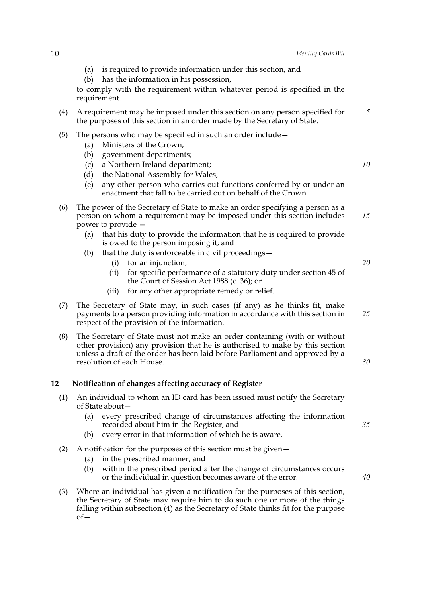- (a) is required to provide information under this section, and (b) has the information in his possession, to comply with the requirement within whatever period is specified in the requirement. A requirement may be imposed under this section on any person specified for  $\overline{5}$  $(4)$ the purposes of this section in an order made by the Secretary of State. The persons who may be specified in such an order include - $(5)$  $(a)$ Ministers of the Crown;  $(b)$ government departments;  $(c)$ a Northern Ireland department; 10 the National Assembly for Wales;  $(d)$ any other person who carries out functions conferred by or under an (e) enactment that fall to be carried out on behalf of the Crown. (6) The power of the Secretary of State to make an order specifying a person as a person on whom a requirement may be imposed under this section includes  $15$ power to provide  $$ that his duty to provide the information that he is required to provide  $(a)$ is owed to the person imposing it; and that the duty is enforceable in civil proceedings - $(b)$ for an injunction; 20  $(i)$ for specific performance of a statutory duty under section 45 of  $(ii)$ the Court of Session Act 1988 (c. 36); or for any other appropriate remedy or relief.  $(iii)$ (7) The Secretary of State may, in such cases (if any) as he thinks fit, make payments to a person providing information in accordance with this section in 25 respect of the provision of the information. (8) The Secretary of State must not make an order containing (with or without other provision) any provision that he is authorised to make by this section unless a draft of the order has been laid before Parliament and approved by a resolution of each House. 30  $12$ Notification of changes affecting accuracy of Register (1) An individual to whom an ID card has been issued must notify the Secretary of State about-(a) every prescribed change of circumstances affecting the information recorded about him in the Register; and 35  $(b)$ every error in that information of which he is aware. (2) A notification for the purposes of this section must be given  $$ in the prescribed manner; and  $(a)$ within the prescribed period after the change of circumstances occurs  $(b)$ or the individual in question becomes aware of the error.  $40$ 
	- Where an individual has given a notification for the purposes of this section,  $(3)$ the Secretary of State may require him to do such one or more of the things falling within subsection (4) as the Secretary of State thinks fit for the purpose  $of-$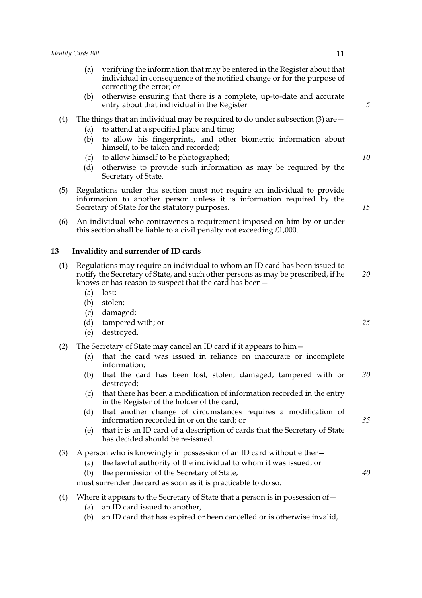$13$ 

|     | (a)                                                                                                                                                                                                  | verifying the information that may be entered in the Register about that<br>individual in consequence of the notified change or for the purpose of<br>correcting the error; or                                                           |    |
|-----|------------------------------------------------------------------------------------------------------------------------------------------------------------------------------------------------------|------------------------------------------------------------------------------------------------------------------------------------------------------------------------------------------------------------------------------------------|----|
|     | (b)                                                                                                                                                                                                  | otherwise ensuring that there is a complete, up-to-date and accurate<br>entry about that individual in the Register.                                                                                                                     | 5  |
| (4) | (a)<br>(b)                                                                                                                                                                                           | The things that an individual may be required to do under subsection $(3)$ are $-$<br>to attend at a specified place and time;<br>to allow his fingerprints, and other biometric information about<br>himself, to be taken and recorded; |    |
|     | (c)<br>(d)                                                                                                                                                                                           | to allow himself to be photographed;<br>otherwise to provide such information as may be required by the<br>Secretary of State.                                                                                                           | 10 |
| (5) | Regulations under this section must not require an individual to provide<br>information to another person unless it is information required by the<br>Secretary of State for the statutory purposes. |                                                                                                                                                                                                                                          |    |
| (6) |                                                                                                                                                                                                      | An individual who contravenes a requirement imposed on him by or under<br>this section shall be liable to a civil penalty not exceeding £1,000.                                                                                          |    |
| 3   |                                                                                                                                                                                                      | Invalidity and surrender of ID cards                                                                                                                                                                                                     |    |
| (1) |                                                                                                                                                                                                      | Regulations may require an individual to whom an ID card has been issued to<br>notify the Secretary of State, and such other persons as may be prescribed, if he<br>knows or has reason to suspect that the card has been -              | 20 |
|     | (a)<br>(b)                                                                                                                                                                                           | lost;<br>stolen;                                                                                                                                                                                                                         |    |
|     | (c)                                                                                                                                                                                                  | damaged;                                                                                                                                                                                                                                 |    |
|     | (d)<br>(e)                                                                                                                                                                                           | tampered with; or<br>destroyed.                                                                                                                                                                                                          | 25 |
| (2) |                                                                                                                                                                                                      | The Secretary of State may cancel an ID card if it appears to him –                                                                                                                                                                      |    |
|     | (a)                                                                                                                                                                                                  | that the card was issued in reliance on inaccurate or incomplete<br>information;                                                                                                                                                         |    |
|     | (b)                                                                                                                                                                                                  | that the card has been lost, stolen, damaged, tampered with or<br>destroyed;                                                                                                                                                             | 30 |
|     | (c)                                                                                                                                                                                                  | that there has been a modification of information recorded in the entry<br>in the Register of the holder of the card;                                                                                                                    |    |
|     | (d)                                                                                                                                                                                                  | that another change of circumstances requires a modification of<br>information recorded in or on the card; or                                                                                                                            | 35 |
|     | (e)                                                                                                                                                                                                  | that it is an ID card of a description of cards that the Secretary of State<br>has decided should be re-issued.                                                                                                                          |    |
| (3) | (a)                                                                                                                                                                                                  | A person who is knowingly in possession of an ID card without either –<br>the lawful authority of the individual to whom it was issued, or                                                                                               |    |
|     | (b)                                                                                                                                                                                                  | the permission of the Secretary of State,                                                                                                                                                                                                | 40 |
|     |                                                                                                                                                                                                      | must surrender the card as soon as it is practicable to do so.                                                                                                                                                                           |    |
| (4) |                                                                                                                                                                                                      | Where it appears to the Secretary of State that a person is in possession of $-$                                                                                                                                                         |    |
|     | (a)<br>(b)                                                                                                                                                                                           | an ID card issued to another,<br>an ID card that has expired or been cancelled or is otherwise invalid,                                                                                                                                  |    |
|     |                                                                                                                                                                                                      |                                                                                                                                                                                                                                          |    |

 $\frac{11}{1}$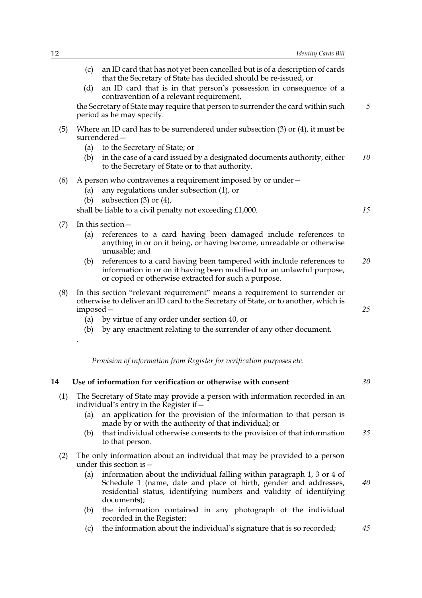|     | (c)                                                                                                                   | an ID card that has not yet been cancelled but is of a description of cards<br>that the Secretary of State has decided should be re-issued, or                                                        |    |
|-----|-----------------------------------------------------------------------------------------------------------------------|-------------------------------------------------------------------------------------------------------------------------------------------------------------------------------------------------------|----|
|     | (d)                                                                                                                   | an ID card that is in that person's possession in consequence of a<br>contravention of a relevant requirement,                                                                                        |    |
|     |                                                                                                                       | the Secretary of State may require that person to surrender the card within such<br>period as he may specify.                                                                                         | 5  |
| (5) |                                                                                                                       | Where an ID card has to be surrendered under subsection $(3)$ or $(4)$ , it must be<br>surrendered-                                                                                                   |    |
|     | (b)                                                                                                                   | (a) to the Secretary of State; or<br>in the case of a card issued by a designated documents authority, either<br>to the Secretary of State or to that authority.                                      | 10 |
| (6) | (a)<br>(b)                                                                                                            | A person who contravenes a requirement imposed by or under-<br>any regulations under subsection (1), or<br>subsection $(3)$ or $(4)$ ,                                                                |    |
|     |                                                                                                                       | shall be liable to a civil penalty not exceeding £1,000.                                                                                                                                              | 15 |
| (7) | (a)                                                                                                                   | In this section-<br>references to a card having been damaged include references to<br>anything in or on it being, or having become, unreadable or otherwise<br>unusable; and                          |    |
|     | (b)                                                                                                                   | references to a card having been tampered with include references to<br>information in or on it having been modified for an unlawful purpose,<br>or copied or otherwise extracted for such a purpose. | 20 |
| (8) | imposed –                                                                                                             | In this section "relevant requirement" means a requirement to surrender or<br>otherwise to deliver an ID card to the Secretary of State, or to another, which is                                      | 25 |
|     | (a)<br>(b)                                                                                                            | by virtue of any order under section 40, or<br>by any enactment relating to the surrender of any other document.                                                                                      |    |
|     |                                                                                                                       | Provision of information from Register for verification purposes etc.                                                                                                                                 |    |
|     |                                                                                                                       | Use of information for verification or otherwise with consent                                                                                                                                         | 30 |
| (1) | The Secretary of State may provide a person with information recorded in an<br>individual's entry in the Register if- |                                                                                                                                                                                                       |    |
|     | (a)                                                                                                                   | an application for the provision of the information to that person is<br>made by or with the authority of that individual; or                                                                         |    |
|     | (b)                                                                                                                   | that individual otherwise consents to the provision of that information<br>to that person.                                                                                                            | 35 |
| (2) |                                                                                                                       | The only information about an individual that may be provided to a person<br>under this section is $-$                                                                                                |    |
|     |                                                                                                                       |                                                                                                                                                                                                       |    |

- (a) information about the individual falling within paragraph 1, 3 or 4 of Schedule 1 (name, date and place of birth, gender and addresses, residential status, identifying numbers and validity of identifying documents);
- the information contained in any photograph of the individual  $(b)$ recorded in the Register;
- the information about the individual's signature that is so recorded;  $(c)$

14

40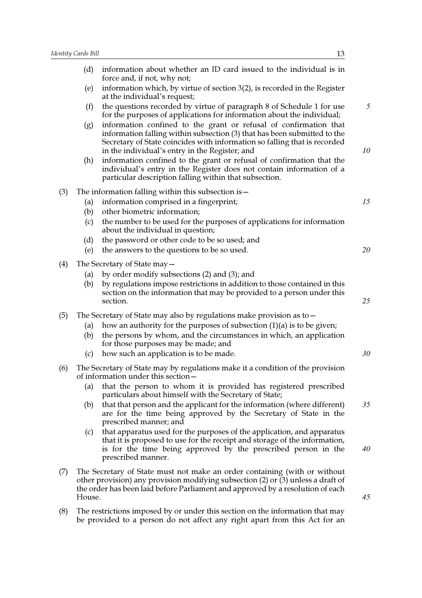$(3)$ 

 $(4)$ 

 $(5)$ 

 $(6)$ 

 $(7)$ 

| (d)    | information about whether an ID card issued to the individual is in                                                                                                                                                                             |                |
|--------|-------------------------------------------------------------------------------------------------------------------------------------------------------------------------------------------------------------------------------------------------|----------------|
| (e)    | force and, if not, why not;<br>information which, by virtue of section 3(2), is recorded in the Register                                                                                                                                        |                |
| (f)    | at the individual's request;<br>the questions recorded by virtue of paragraph 8 of Schedule 1 for use<br>for the purposes of applications for information about the individual;                                                                 | $\mathfrak{I}$ |
| (g)    | information confined to the grant or refusal of confirmation that<br>information falling within subsection (3) that has been submitted to the<br>Secretary of State coincides with information so falling that is recorded                      |                |
| (h)    | in the individual's entry in the Register; and<br>information confined to the grant or refusal of confirmation that the                                                                                                                         | 10             |
|        | individual's entry in the Register does not contain information of a<br>particular description falling within that subsection.                                                                                                                  |                |
|        | The information falling within this subsection is $-$                                                                                                                                                                                           |                |
| (a)    | information comprised in a fingerprint;                                                                                                                                                                                                         | 15             |
| (b)    | other biometric information;                                                                                                                                                                                                                    |                |
| (c)    | the number to be used for the purposes of applications for information<br>about the individual in question;                                                                                                                                     |                |
| (d)    | the password or other code to be so used; and                                                                                                                                                                                                   |                |
| (e)    | the answers to the questions to be so used.                                                                                                                                                                                                     | 20             |
|        | The Secretary of State may -                                                                                                                                                                                                                    |                |
| (a)    | by order modify subsections (2) and (3); and                                                                                                                                                                                                    |                |
| (b)    | by regulations impose restrictions in addition to those contained in this<br>section on the information that may be provided to a person under this<br>section.                                                                                 | 25             |
|        | The Secretary of State may also by regulations make provision as to $-$                                                                                                                                                                         |                |
| (a)    | how an authority for the purposes of subsection $(1)(a)$ is to be given;                                                                                                                                                                        |                |
| (b)    | the persons by whom, and the circumstances in which, an application<br>for those purposes may be made; and                                                                                                                                      |                |
| (c)    | how such an application is to be made.                                                                                                                                                                                                          | 30             |
|        | The Secretary of State may by regulations make it a condition of the provision<br>of information under this section –                                                                                                                           |                |
| (a)    | that the person to whom it is provided has registered prescribed<br>particulars about himself with the Secretary of State;                                                                                                                      |                |
| (b)    | that that person and the applicant for the information (where different)<br>are for the time being approved by the Secretary of State in the<br>prescribed manner; and                                                                          | 35             |
| (c)    | that apparatus used for the purposes of the application, and apparatus<br>that it is proposed to use for the receipt and storage of the information,<br>is for the time being approved by the prescribed person in the<br>prescribed manner.    | 40             |
| House. | The Secretary of State must not make an order containing (with or without<br>other provision) any provision modifying subsection (2) or (3) unless a draft of<br>the order has been laid before Parliament and approved by a resolution of each | 45             |
|        |                                                                                                                                                                                                                                                 |                |

(8) The restrictions imposed by or under this section on the information that may be provided to a person do not affect any right apart from this Act for an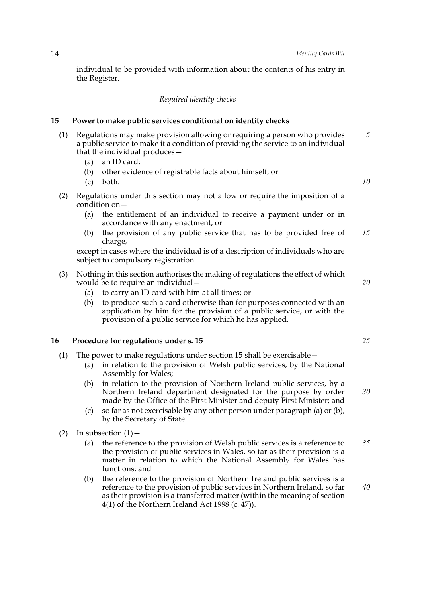individual to be provided with information about the contents of his entry in the Register.

### Reauired identity checks

#### 15 Power to make public services conditional on identity checks

- Regulations may make provision allowing or requiring a person who provides 5  $(1)$ a public service to make it a condition of providing the service to an individual that the individual produces -
	- $(a)$ an ID card;
	- other evidence of registrable facts about himself; or (b)
	- both.  $(c)$
- (2) Regulations under this section may not allow or require the imposition of a condition on
	- the entitlement of an individual to receive a payment under or in  $(a)$ accordance with any enactment, or
	- the provision of any public service that has to be provided free of  $15$  $(b)$ charge,

except in cases where the individual is of a description of individuals who are subject to compulsory registration.

- Nothing in this section authorises the making of regulations the effect of which  $(3)$ would be to require an individual -
	- $(a)$ to carry an ID card with him at all times; or
	- to produce such a card otherwise than for purposes connected with an  $(b)$ application by him for the provision of a public service, or with the provision of a public service for which he has applied.

#### 16 Procedure for regulations under s. 15

- (1) The power to make regulations under section 15 shall be exercisable  $$ 
	- in relation to the provision of Welsh public services, by the National  $(a)$ Assembly for Wales;
	- in relation to the provision of Northern Ireland public services, by a  $(b)$ Northern Ireland department designated for the purpose by order made by the Office of the First Minister and deputy First Minister; and
	- so far as not exercisable by any other person under paragraph (a) or (b),  $(c)$ by the Secretary of State.
- (2) In subsection  $(1)$ 
	- the reference to the provision of Welsh public services is a reference to 35  $(a)$ the provision of public services in Wales, so far as their provision is a matter in relation to which the National Assembly for Wales has functions; and
	- $(b)$ the reference to the provision of Northern Ireland public services is a reference to the provision of public services in Northern Ireland, so far as their provision is a transferred matter (within the meaning of section 4(1) of the Northern Ireland Act 1998 (c. 47)).

25

30

 $40$ 

20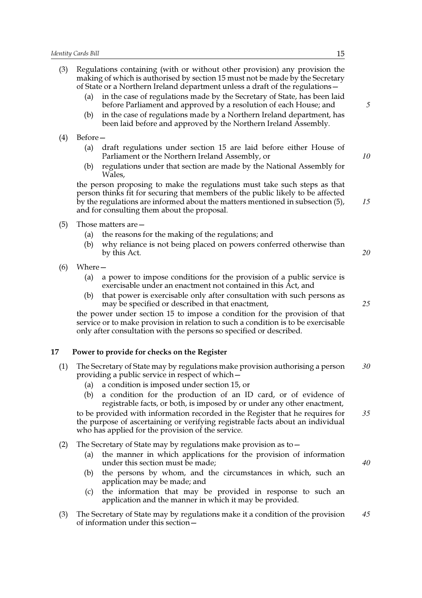- Regulations containing (with or without other provision) any provision the  $(3)$ making of which is authorised by section 15 must not be made by the Secretary of State or a Northern Ireland department unless a draft of the regulations in the case of regulations made by the Secretary of State, has been laid  $(a)$ 5 before Parliament and approved by a resolution of each House; and in the case of regulations made by a Northern Ireland department, has (b) been laid before and approved by the Northern Ireland Assembly.  $(4)$  Before draft regulations under section 15 are laid before either House of  $(a)$  $10<sup>2</sup>$ Parliament or the Northern Ireland Assembly, or regulations under that section are made by the National Assembly for  $(b)$ Wales, the person proposing to make the regulations must take such steps as that person thinks fit for securing that members of the public likely to be affected by the regulations are informed about the matters mentioned in subsection (5),  $15$ and for consulting them about the proposal.  $(5)$ Those matters are – the reasons for the making of the regulations; and  $(a)$  $(b)$ why reliance is not being placed on powers conferred otherwise than by this Act. 20  $(6)$  Where – a power to impose conditions for the provision of a public service is  $(a)$ exercisable under an enactment not contained in this Act, and that power is exercisable only after consultation with such persons as  $(b)$ 25 may be specified or described in that enactment, the power under section 15 to impose a condition for the provision of that service or to make provision in relation to such a condition is to be exercisable only after consultation with the persons so specified or described. 17 Power to provide for checks on the Register  $(1)$ The Secretary of State may by regulations make provision authorising a person 30 providing a public service in respect of which -(a) a condition is imposed under section 15, or a condition for the production of an ID card, or of evidence of (b) registrable facts, or both, is imposed by or under any other enactment, to be provided with information recorded in the Register that he requires for 35 the purpose of ascertaining or verifying registrable facts about an individual who has applied for the provision of the service. (2) The Secretary of State may by regulations make provision as to  $$ the manner in which applications for the provision of information  $(a)$ under this section must be made:  $40$ 
	- the persons by whom, and the circumstances in which, such an (b) application may be made; and
	- $(c)$ the information that may be provided in response to such an application and the manner in which it may be provided.
	- The Secretary of State may by regulations make it a condition of the provision 45  $(3)$ of information under this section -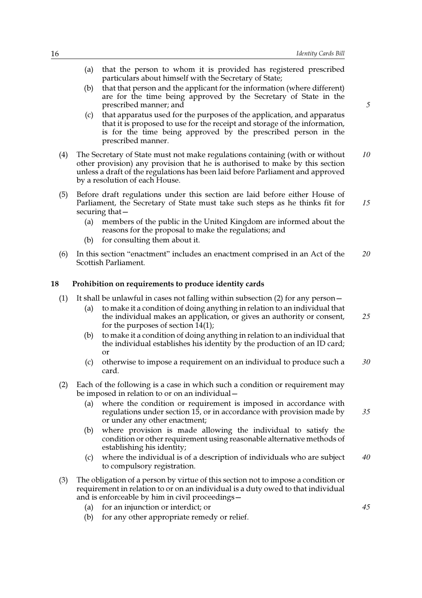- $(a)$ that the person to whom it is provided has registered prescribed particulars about himself with the Secretary of State;
- that that person and the applicant for the information (where different)  $(b)$ are for the time being approved by the Secretary of State in the prescribed manner; and
- that apparatus used for the purposes of the application, and apparatus  $(c)$ that it is proposed to use for the receipt and storage of the information, is for the time being approved by the prescribed person in the prescribed manner.
- The Secretary of State must not make regulations containing (with or without 10  $(4)$ other provision) any provision that he is authorised to make by this section unless a draft of the regulations has been laid before Parliament and approved by a resolution of each House.
- Before draft regulations under this section are laid before either House of  $(5)$ Parliament, the Secretary of State must take such steps as he thinks fit for securing that
	- members of the public in the United Kingdom are informed about the  $(a)$ reasons for the proposal to make the regulations; and
	- for consulting them about it. (b)
- (6) In this section "enactment" includes an enactment comprised in an Act of the 20 Scottish Parliament.

#### 18 Prohibition on requirements to produce identity cards

- $(1)$  It shall be unlawful in cases not falling within subsection (2) for any person
	- to make it a condition of doing anything in relation to an individual that  $(a)$ the individual makes an application, or gives an authority or consent, 25 for the purposes of section  $14(1)$ ;
	- to make it a condition of doing anything in relation to an individual that (b) the individual establishes his identity by the production of an ID card;  $\alpha$ <sup>r</sup>
	- otherwise to impose a requirement on an individual to produce such a 30  $(c)$ card.
- (2) Each of the following is a case in which such a condition or requirement may be imposed in relation to or on an individual –
	- $(a)$ where the condition or requirement is imposed in accordance with regulations under section 15, or in accordance with provision made by 35 or under any other enactment;
	- where provision is made allowing the individual to satisfy the  $(b)$ condition or other requirement using reasonable alternative methods of establishing his identity;
	- where the individual is of a description of individuals who are subject 40  $(c)$ to compulsory registration.
- The obligation of a person by virtue of this section not to impose a condition or  $(3)$ requirement in relation to or on an individual is a duty owed to that individual and is enforceable by him in civil proceedings-
	- (a) for an injunction or interdict; or
	- (b) for any other appropriate remedy or relief.

5

15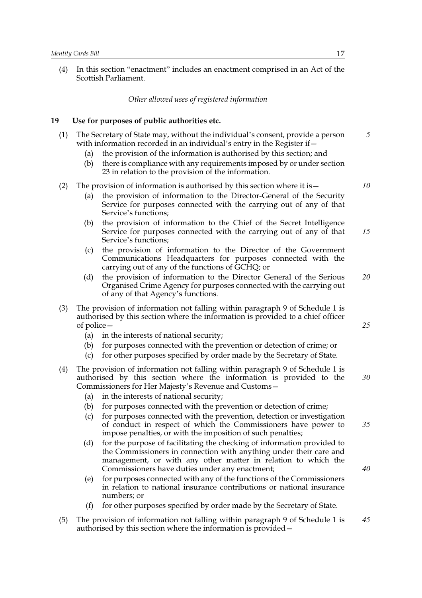$(4)$ In this section "enactment" includes an enactment comprised in an Act of the Scottish Parliament.

Other allowed uses of registered information

#### 19 Use for purposes of public authorities etc.

- The Secretary of State may, without the individual's consent, provide a person 5  $(1)$ with information recorded in an individual's entry in the Register if  $$ 
	- the provision of the information is authorised by this section; and  $(a)$
	- there is compliance with any requirements imposed by or under section  $(b)$ 23 in relation to the provision of the information.

#### $(2)$ The provision of information is authorised by this section where it is  $-$

- the provision of information to the Director-General of the Security  $(a)$ Service for purposes connected with the carrying out of any of that Service's functions;
- the provision of information to the Chief of the Secret Intelligence (b) Service for purposes connected with the carrying out of any of that  $15$ Service's functions;
- the provision of information to the Director of the Government  $(C)$ Communications Headquarters for purposes connected with the carrying out of any of the functions of GCHQ; or
- the provision of information to the Director General of the Serious 20  $(d)$ Organised Crime Agency for purposes connected with the carrying out of any of that Agency's functions.
- The provision of information not falling within paragraph 9 of Schedule 1 is  $(3)$ authorised by this section where the information is provided to a chief officer of police-
	- (a) in the interests of national security;
	- for purposes connected with the prevention or detection of crime; or  $(b)$
	- for other purposes specified by order made by the Secretary of State.  $(c)$
- (4) The provision of information not falling within paragraph 9 of Schedule 1 is 30 authorised by this section where the information is provided to the Commissioners for Her Majesty's Revenue and Customs
	- in the interests of national security;  $(a)$
	- $(b)$ for purposes connected with the prevention or detection of crime;
	- $(c)$ for purposes connected with the prevention, detection or investigation of conduct in respect of which the Commissioners have power to impose penalties, or with the imposition of such penalties;
	- for the purpose of facilitating the checking of information provided to  $(d)$ the Commissioners in connection with anything under their care and management, or with any other matter in relation to which the Commissioners have duties under any enactment;
	- (e) for purposes connected with any of the functions of the Commissioners in relation to national insurance contributions or national insurance numbers: or
	- for other purposes specified by order made by the Secretary of State.  $(f)$
- 45 The provision of information not falling within paragraph 9 of Schedule 1 is  $(5)$ authorised by this section where the information is provided –

 $10<sup>2</sup>$ 

25

40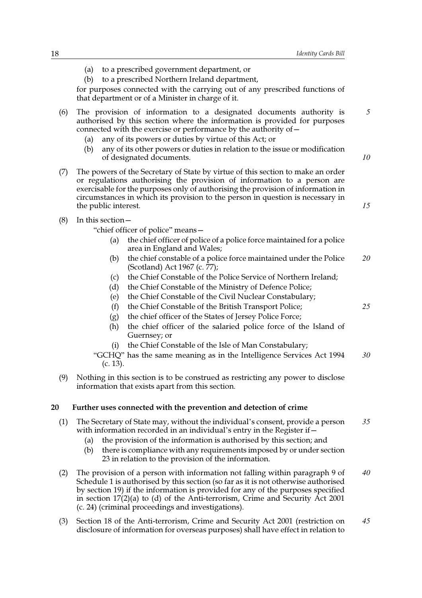$\overline{5}$ 

10

15

25

- to a prescribed government department, or  $(a)$
- (b) to a prescribed Northern Ireland department,

for purposes connected with the carrying out of any prescribed functions of that department or of a Minister in charge of it.

- The provision of information to a designated documents authority is  $(6)$ authorised by this section where the information is provided for purposes connected with the exercise or performance by the authority of
	- any of its powers or duties by virtue of this Act; or  $(a)$
	- any of its other powers or duties in relation to the issue or modification  $(b)$ of designated documents.
- The powers of the Secretary of State by virtue of this section to make an order  $(7)$ or regulations authorising the provision of information to a person are exercisable for the purposes only of authorising the provision of information in circumstances in which its provision to the person in question is necessary in the public interest.
- $(8)$ In this section-

"chief officer of police" means-

- the chief officer of police of a police force maintained for a police  $(a)$ area in England and Wales;
- the chief constable of a police force maintained under the Police 20  $(b)$ (Scotland) Act 1967 (c. 77);
- the Chief Constable of the Police Service of Northern Ireland;  $(c)$
- $(d)$ the Chief Constable of the Ministry of Defence Police;
- the Chief Constable of the Civil Nuclear Constabulary; (e)
- $(f)$ the Chief Constable of the British Transport Police;
- the chief officer of the States of Jersey Police Force;  $(g)$
- the chief officer of the salaried police force of the Island of  $(h)$ Guernsey; or
- the Chief Constable of the Isle of Man Constabulary;  $(i)$
- "GCHQ" has the same meaning as in the Intelligence Services Act 1994 30  $(c. 13).$
- $(9)$ Nothing in this section is to be construed as restricting any power to disclose information that exists apart from this section.

#### 20 Further uses connected with the prevention and detection of crime

- The Secretary of State may, without the individual's consent, provide a person  $(1)$ 35 with information recorded in an individual's entry in the Register if  $$ 
	- the provision of the information is authorised by this section; and  $(a)$
	- there is compliance with any requirements imposed by or under section  $(b)$ 23 in relation to the provision of the information.
- The provision of a person with information not falling within paragraph 9 of  $40$  $(2)$ Schedule 1 is authorised by this section (so far as it is not otherwise authorised by section 19) if the information is provided for any of the purposes specified in section  $17(2)(a)$  to (d) of the Anti-terrorism, Crime and Security Act 2001 (c. 24) (criminal proceedings and investigations).
- Section 18 of the Anti-terrorism, Crime and Security Act 2001 (restriction on 45  $(3)$ disclosure of information for overseas purposes) shall have effect in relation to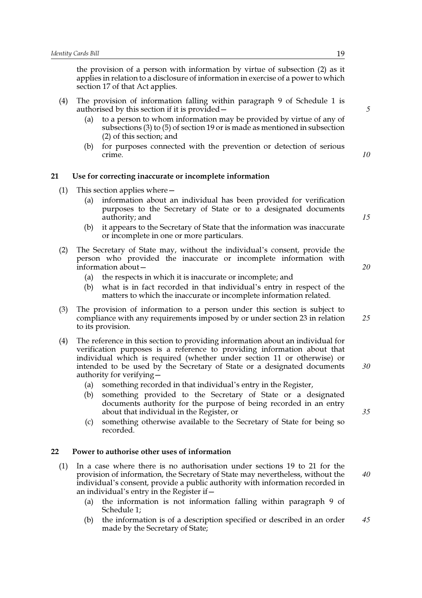the provision of a person with information by virtue of subsection (2) as it applies in relation to a disclosure of information in exercise of a power to which section 17 of that Act applies.

- (4) The provision of information falling within paragraph 9 of Schedule 1 is authorised by this section if it is provided -
	- $(a)$ to a person to whom information may be provided by virtue of any of subsections (3) to (5) of section 19 or is made as mentioned in subsection (2) of this section; and
	- for purposes connected with the prevention or detection of serious (b) crime.

### 10

5

#### 21 Use for correcting inaccurate or incomplete information

- $(1)$  This section applies where  $$ 
	- information about an individual has been provided for verification  $(a)$ purposes to the Secretary of State or to a designated documents authority; and
	- (b) it appears to the Secretary of State that the information was inaccurate or incomplete in one or more particulars.
- The Secretary of State may, without the individual's consent, provide the  $(2)$ person who provided the inaccurate or incomplete information with information about-
	- (a) the respects in which it is inaccurate or incomplete; and
	- (b) what is in fact recorded in that individual's entry in respect of the matters to which the inaccurate or incomplete information related.
- The provision of information to a person under this section is subject to  $(3)$ 25 compliance with any requirements imposed by or under section 23 in relation to its provision.
- The reference in this section to providing information about an individual for  $(4)$ verification purposes is a reference to providing information about that individual which is required (whether under section 11 or otherwise) or intended to be used by the Secretary of State or a designated documents 30 authority for verifying-
	- (a) something recorded in that individual's entry in the Register,
	- something provided to the Secretary of State or a designated  $(b)$ documents authority for the purpose of being recorded in an entry about that individual in the Register, or
	- something otherwise available to the Secretary of State for being so  $(c)$ recorded.

#### 22 Power to authorise other uses of information

- $(1)$  In a case where there is no authorisation under sections 19 to 21 for the provision of information, the Secretary of State may nevertheless, without the individual's consent, provide a public authority with information recorded in an individual's entry in the Register if  $$ 
	- the information is not information falling within paragraph 9 of  $(a)$ Schedule 1:
	- 45 the information is of a description specified or described in an order (b) made by the Secretary of State;

15

35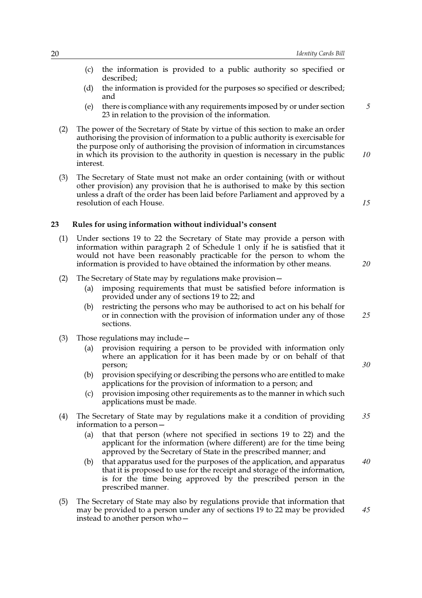- the information is provided to a public authority so specified or  $(c)$ described:
- the information is provided for the purposes so specified or described;  $(d)$ and
- there is compliance with any requirements imposed by or under section (e) 23 in relation to the provision of the information.
- (2) The power of the Secretary of State by virtue of this section to make an order authorising the provision of information to a public authority is exercisable for the purpose only of authorising the provision of information in circumstances 10 in which its provision to the authority in question is necessary in the public interest.
- $(3)$ The Secretary of State must not make an order containing (with or without other provision) any provision that he is authorised to make by this section unless a draft of the order has been laid before Parliament and approved by a resolution of each House.

 $15$ 

20

 $\overline{5}$ 

#### 23 Rules for using information without individual's consent

- Under sections 19 to 22 the Secretary of State may provide a person with  $(1)$ information within paragraph 2 of Schedule 1 only if he is satisfied that it would not have been reasonably practicable for the person to whom the information is provided to have obtained the information by other means.
- (2) The Secretary of State may by regulations make provision
	- imposing requirements that must be satisfied before information is  $(a)$ provided under any of sections 19 to 22; and
	- restricting the persons who may be authorised to act on his behalf for  $(b)$ or in connection with the provision of information under any of those 25 sections.
- $(3)$  Those regulations may include  $-$ 
	- $(a)$ provision requiring a person to be provided with information only where an application for it has been made by or on behalf of that person;
	- provision specifying or describing the persons who are entitled to make  $(b)$ applications for the provision of information to a person; and
	- provision imposing other requirements as to the manner in which such  $(c)$ applications must be made.
- (4) The Secretary of State may by regulations make it a condition of providing 35 information to a person
	- that that person (where not specified in sections 19 to 22) and the  $(a)$ applicant for the information (where different) are for the time being approved by the Secretary of State in the prescribed manner; and
	- that apparatus used for the purposes of the application, and apparatus 40 (b) that it is proposed to use for the receipt and storage of the information, is for the time being approved by the prescribed person in the prescribed manner.
- The Secretary of State may also by regulations provide that information that  $(5)$ may be provided to a person under any of sections 19 to 22 may be provided  $45$ instead to another person who-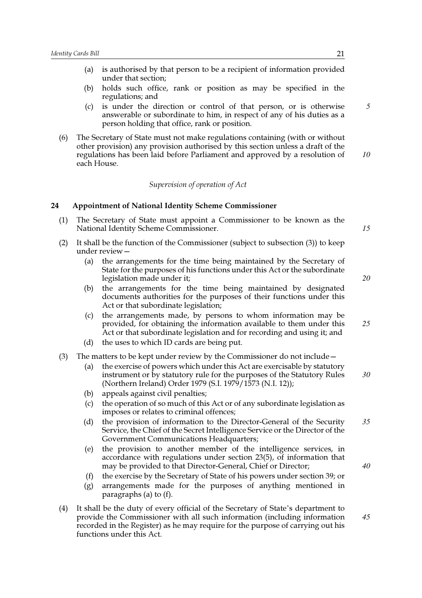- is authorised by that person to be a recipient of information provided  $(a)$ under that section:
- $(b)$ holds such office, rank or position as may be specified in the regulations; and
- is under the direction or control of that person, or is otherwise  $(c)$ answerable or subordinate to him, in respect of any of his duties as a person holding that office, rank or position.
- $(6)$ The Secretary of State must not make regulations containing (with or without other provision) any provision authorised by this section unless a draft of the 10 regulations has been laid before Parliament and approved by a resolution of each House.

### Supervision of operation of Act

#### 24 **Appointment of National Identity Scheme Commissioner**

- $(1)$ The Secretary of State must appoint a Commissioner to be known as the National Identity Scheme Commissioner.
- It shall be the function of the Commissioner (subject to subsection (3)) to keep  $(2)$ under review
	- the arrangements for the time being maintained by the Secretary of  $(a)$ State for the purposes of his functions under this Act or the subordinate legislation made under it;
	- the arrangements for the time being maintained by designated (b) documents authorities for the purposes of their functions under this Act or that subordinate legislation;
	- the arrangements made, by persons to whom information may be  $(c)$ provided, for obtaining the information available to them under this Act or that subordinate legislation and for recording and using it; and
	- the uses to which ID cards are being put.  $(d)$
- The matters to be kept under review by the Commissioner do not include  $(3)$ 
	- the exercise of powers which under this Act are exercisable by statutory  $(a)$ instrument or by statutory rule for the purposes of the Statutory Rules 30 (Northern Ireland) Order 1979 (S.I. 1979/1573 (N.I. 12));
	- appeals against civil penalties;  $(b)$
	- the operation of so much of this Act or of any subordinate legislation as  $(c)$ imposes or relates to criminal offences;
	- the provision of information to the Director-General of the Security  $(d)$ Service, the Chief of the Secret Intelligence Service or the Director of the Government Communications Headquarters;
	- (e) the provision to another member of the intelligence services, in accordance with regulations under section 23(5), of information that may be provided to that Director-General, Chief or Director;
	- $(f)$ the exercise by the Secretary of State of his powers under section 39; or
	- arrangements made for the purposes of anything mentioned in  $(g)$ paragraphs (a) to  $(f)$ .
- It shall be the duty of every official of the Secretary of State's department to  $(4)$ provide the Commissioner with all such information (including information recorded in the Register) as he may require for the purpose of carrying out his functions under this Act.

5

 $15$ 

20

25

35

40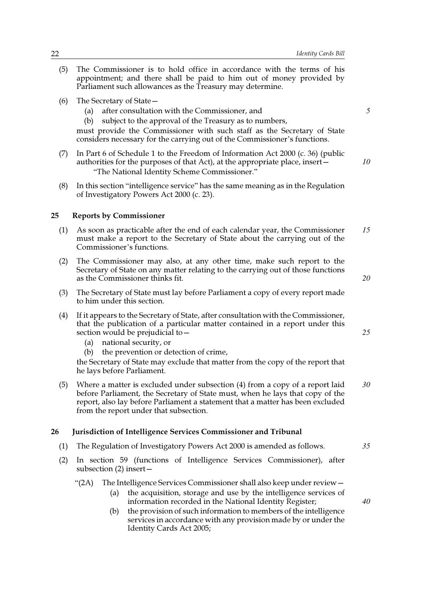- (5) The Commissioner is to hold office in accordance with the terms of his appointment; and there shall be paid to him out of money provided by Parliament such allowances as the Treasury may determine.
- (6) The Secretary of State  $-$ 
	- (a) after consultation with the Commissioner, and
	- subject to the approval of the Treasury as to numbers,  $(b)$

must provide the Commissioner with such staff as the Secretary of State considers necessary for the carrying out of the Commissioner's functions.

- In Part 6 of Schedule 1 to the Freedom of Information Act 2000 (c. 36) (public  $(7)$ authorities for the purposes of that Act), at the appropriate place, insert-"The National Identity Scheme Commissioner."
- $(8)$ In this section "intelligence service" has the same meaning as in the Regulation of Investigatory Powers Act 2000 (c. 23).

#### $25$ **Reports by Commissioner**

- $15$ (1) As soon as practicable after the end of each calendar year, the Commissioner must make a report to the Secretary of State about the carrying out of the Commissioner's functions.
- The Commissioner may also, at any other time, make such report to the  $(2)$ Secretary of State on any matter relating to the carrying out of those functions as the Commissioner thinks fit.
- The Secretary of State must lay before Parliament a copy of every report made  $(3)$ to him under this section.
- If it appears to the Secretary of State, after consultation with the Commissioner,  $(4)$ that the publication of a particular matter contained in a report under this section would be prejudicial to -
	- (a) national security, or
	- (b) the prevention or detection of crime,

the Secretary of State may exclude that matter from the copy of the report that he lays before Parliament.

(5) Where a matter is excluded under subsection (4) from a copy of a report laid 30 before Parliament, the Secretary of State must, when he lays that copy of the report, also lay before Parliament a statement that a matter has been excluded from the report under that subsection.

#### 26 Jurisdiction of Intelligence Services Commissioner and Tribunal

- (1) The Regulation of Investigatory Powers Act 2000 is amended as follows.
- In section 59 (functions of Intelligence Services Commissioner), after  $(2)$ subsection  $(2)$  insert-
	- The Intelligence Services Commissioner shall also keep under review -" $(2A)$ 
		- the acquisition, storage and use by the intelligence services of  $(a)$ information recorded in the National Identity Register;
		- the provision of such information to members of the intelligence (b) services in accordance with any provision made by or under the Identity Cards Act 2005;

5

 $10<sup>2</sup>$ 

25

20

35

 $40<sup>2</sup>$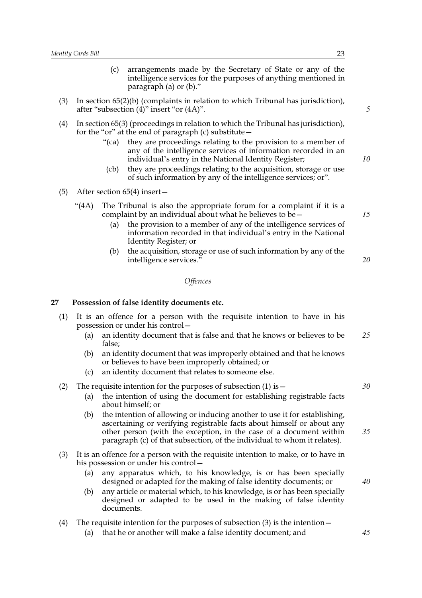- arrangements made by the Secretary of State or any of the  $(c)$ intelligence services for the purposes of anything mentioned in paragraph (a) or  $(b)$ ."
- In section  $65(2)(b)$  (complaints in relation to which Tribunal has jurisdiction),  $(3)$ after "subsection  $(4)$ " insert "or  $(4A)$ ".
- In section 65(3) (proceedings in relation to which the Tribunal has jurisdiction),  $(4)$ for the "or" at the end of paragraph  $(c)$  substitute  $$ 
	- they are proceedings relating to the provision to a member of "(ca) any of the intelligence services of information recorded in an individual's entry in the National Identity Register;
	- they are proceedings relating to the acquisition, storage or use  $(cb)$ of such information by any of the intelligence services; or".

(5) After section  $65(4)$  insert -

- " $(4A)$ The Tribunal is also the appropriate forum for a complaint if it is a complaint by an individual about what he believes to be –
	- the provision to a member of any of the intelligence services of  $(a)$ information recorded in that individual's entry in the National Identity Register; or
	- the acquisition, storage or use of such information by any of the  $(b)$ intelligence services."

### Offences

#### 27 Possession of false identity documents etc.

- It is an offence for a person with the requisite intention to have in his  $(1)$ possession or under his control
	- an identity document that is false and that he knows or believes to be 25  $(a)$ false;
	- an identity document that was improperly obtained and that he knows  $(b)$ or believes to have been improperly obtained; or
	- an identity document that relates to someone else.  $(c)$
- (2) The requisite intention for the purposes of subsection (1) is  $$ 
	- the intention of using the document for establishing registrable facts  $(a)$ about himself; or
	- the intention of allowing or inducing another to use it for establishing,  $(b)$ ascertaining or verifying registrable facts about himself or about any other person (with the exception, in the case of a document within paragraph (c) of that subsection, of the individual to whom it relates).
- It is an offence for a person with the requisite intention to make, or to have in  $(3)$ his possession or under his control
	- any apparatus which, to his knowledge, is or has been specially  $(a)$ designed or adapted for the making of false identity documents; or
	- $(b)$ any article or material which, to his knowledge, is or has been specially designed or adapted to be used in the making of false identity documents.
- The requisite intention for the purposes of subsection  $(3)$  is the intention  $(4)$ 
	- that he or another will make a false identity document; and  $(a)$

30

35

40

10

15

20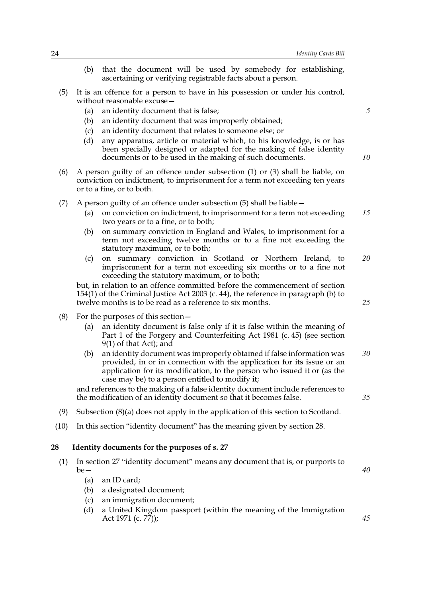- that the document will be used by somebody for establishing.  $(b)$ ascertaining or verifying registrable facts about a person.
- (5) It is an offence for a person to have in his possession or under his control, without reasonable excuse-
	- $(a)$ an identity document that is false;
	- an identity document that was improperly obtained;  $(b)$
	- $(c)$ an identity document that relates to someone else; or
	- $(d)$ any apparatus, article or material which, to his knowledge, is or has been specially designed or adapted for the making of false identity documents or to be used in the making of such documents.
- (6) A person guilty of an offence under subsection  $(1)$  or  $(3)$  shall be liable, on conviction on indictment, to imprisonment for a term not exceeding ten years or to a fine, or to both.
- (7) A person guilty of an offence under subsection  $(5)$  shall be liable
	- on conviction on indictment, to imprisonment for a term not exceeding  $15$  $(a)$ two years or to a fine, or to both;
	- $(b)$ on summary conviction in England and Wales, to imprisonment for a term not exceeding twelve months or to a fine not exceeding the statutory maximum, or to both;
	- on summary conviction in Scotland or Northern Ireland, to 20  $(c)$ imprisonment for a term not exceeding six months or to a fine not exceeding the statutory maximum, or to both;

but, in relation to an offence committed before the commencement of section 154(1) of the Criminal Justice Act 2003 (c. 44), the reference in paragraph (b) to twelve months is to be read as a reference to six months.

- For the purposes of this section - $(8)$ 
	- an identity document is false only if it is false within the meaning of  $(a)$ Part 1 of the Forgery and Counterfeiting Act 1981 (c. 45) (see section  $9(1)$  of that Act); and
	- an identity document was improperly obtained if false information was 30  $(b)$ provided, in or in connection with the application for its issue or an application for its modification, to the person who issued it or (as the case may be) to a person entitled to modify it;

and references to the making of a false identity document include references to the modification of an identity document so that it becomes false.

- Subsection  $(8)(a)$  does not apply in the application of this section to Scotland.  $(9)$
- In this section "identity document" has the meaning given by section 28.  $(10)$

#### 28 Identity documents for the purposes of s. 27

- (1) In section 27 "identity document" means any document that is, or purports to  $be-$ 40  $(a)$  an ID card:
	-
	- $(b)$ a designated document;
	- $(c)$ an immigration document;
	- a United Kingdom passport (within the meaning of the Immigration  $(d)$ Act 1971 (c.  $77$ ));

5

 $10<sup>2</sup>$ 

25

35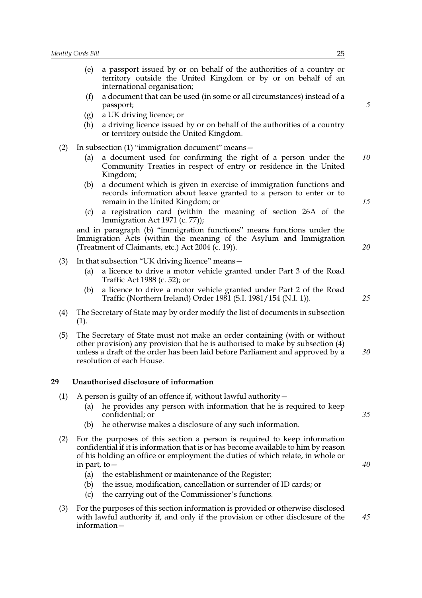$(2)$ 

 $(3)$ 

 $(4)$ 

 $(5)$ 

29

 $(1)$ 

 $(2)$ 

| (e)             | a passport issued by or on behalf of the authorities of a country or<br>territory outside the United Kingdom or by or on behalf of an<br>international organisation;                                                                                                      |    |
|-----------------|---------------------------------------------------------------------------------------------------------------------------------------------------------------------------------------------------------------------------------------------------------------------------|----|
| (f)             | a document that can be used (in some or all circumstances) instead of a<br>passport;                                                                                                                                                                                      | 5  |
| (g)<br>(h)      | a UK driving licence; or<br>a driving licence issued by or on behalf of the authorities of a country<br>or territory outside the United Kingdom.                                                                                                                          |    |
|                 | In subsection (1) "immigration document" means-                                                                                                                                                                                                                           |    |
| (a)             | a document used for confirming the right of a person under the<br>Community Treaties in respect of entry or residence in the United<br>Kingdom;                                                                                                                           | 10 |
| (b)             | a document which is given in exercise of immigration functions and<br>records information about leave granted to a person to enter or to<br>remain in the United Kingdom; or                                                                                              | 15 |
| (c)             | a registration card (within the meaning of section 26A of the<br>Immigration Act 1971 (c. 77));                                                                                                                                                                           |    |
|                 | and in paragraph (b) "immigration functions" means functions under the<br>Immigration Acts (within the meaning of the Asylum and Immigration<br>(Treatment of Claimants, etc.) Act 2004 (c. 19)).                                                                         | 20 |
|                 | In that subsection "UK driving licence" means -                                                                                                                                                                                                                           |    |
| (a)             | a licence to drive a motor vehicle granted under Part 3 of the Road<br>Traffic Act 1988 (c. 52); or                                                                                                                                                                       |    |
| (b)             | a licence to drive a motor vehicle granted under Part 2 of the Road<br>Traffic (Northern Ireland) Order 1981 (S.I. 1981/154 (N.I. 1)).                                                                                                                                    | 25 |
| (1).            | The Secretary of State may by order modify the list of documents in subsection                                                                                                                                                                                            |    |
|                 | The Secretary of State must not make an order containing (with or without<br>other provision) any provision that he is authorised to make by subsection (4)<br>unless a draft of the order has been laid before Parliament and approved by a<br>resolution of each House. | 30 |
|                 | Unauthorised disclosure of information                                                                                                                                                                                                                                    |    |
| (a)             | A person is guilty of an offence if, without lawful authority -<br>he provides any person with information that he is required to keep                                                                                                                                    |    |
| (b)             | confidential; or<br>he otherwise makes a disclosure of any such information.                                                                                                                                                                                              | 35 |
|                 |                                                                                                                                                                                                                                                                           |    |
| in part, to $-$ | For the purposes of this section a person is required to keep information<br>confidential if it is information that is or has become available to him by reason<br>of his holding an office or employment the duties of which relate, in whole or                         | 40 |

- the establishment or maintenance of the Register;  $(a)$
- the issue, modification, cancellation or surrender of ID cards; or  $(b)$
- the carrying out of the Commissioner's functions.  $(c)$
- $(3)$ For the purposes of this section information is provided or otherwise disclosed with lawful authority if, and only if the provision or other disclosure of the information-

 $\theta$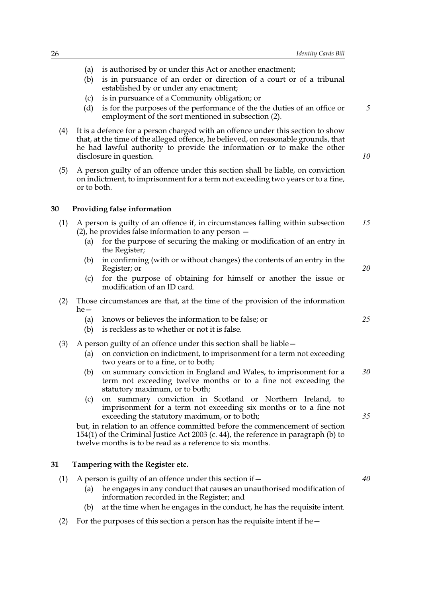- is authorised by or under this Act or another enactment;  $(a)$
- $(b)$ is in pursuance of an order or direction of a court or of a tribunal established by or under any enactment;
- is in pursuance of a Community obligation; or  $(c)$
- is for the purposes of the performance of the the duties of an office or  $(d)$ employment of the sort mentioned in subsection (2).
- (4) It is a defence for a person charged with an offence under this section to show that, at the time of the alleged offence, he believed, on reasonable grounds, that he had lawful authority to provide the information or to make the other disclosure in question.
- A person guilty of an offence under this section shall be liable, on conviction  $(5)$ on indictment, to imprisonment for a term not exceeding two years or to a fine, or to both.

#### 30 Providing false information

- $(1)$ A person is guilty of an offence if, in circumstances falling within subsection  $15$  $(2)$ , he provides false information to any person  $$ 
	- for the purpose of securing the making or modification of an entry in  $(a)$ the Register;
	- in confirming (with or without changes) the contents of an entry in the (b) Register; or
	- for the purpose of obtaining for himself or another the issue or  $\left( c\right)$ modification of an ID card.
- Those circumstances are that, at the time of the provision of the information  $(2)$  $he$ 
	- knows or believes the information to be false; or  $(a)$
	- $(b)$ is reckless as to whether or not it is false.

#### A person guilty of an offence under this section shall be liable –  $(3)$

- on conviction on indictment, to imprisonment for a term not exceeding  $(a)$ two years or to a fine, or to both;
- on summary conviction in England and Wales, to imprisonment for a 30 (b) term not exceeding twelve months or to a fine not exceeding the statutory maximum, or to both;
- $(c)$ on summary conviction in Scotland or Northern Ireland, to imprisonment for a term not exceeding six months or to a fine not exceeding the statutory maximum, or to both;

but, in relation to an offence committed before the commencement of section 154(1) of the Criminal Justice Act 2003 (c. 44), the reference in paragraph (b) to twelve months is to be read as a reference to six months.

#### 31 Tampering with the Register etc.

- (1) A person is guilty of an offence under this section if  $$ 
	- he engages in any conduct that causes an unauthorised modification of  $(a)$ information recorded in the Register; and
	- at the time when he engages in the conduct, he has the requisite intent. (b)
- (2) For the purposes of this section a person has the requisite intent if he  $-$

25

20

 $\overline{5}$ 

 $10<sup>2</sup>$ 

35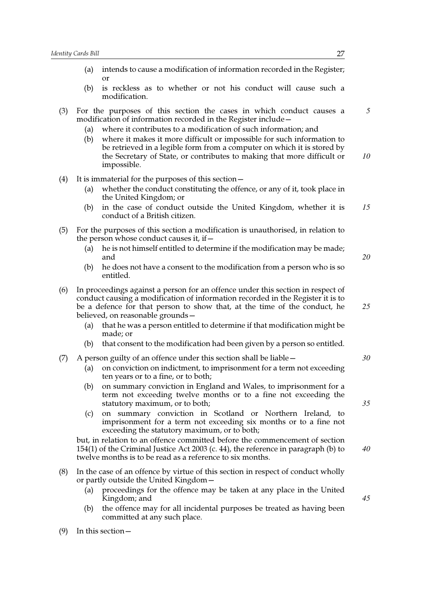- intends to cause a modification of information recorded in the Register;  $(a)$
- is reckless as to whether or not his conduct will cause such a  $(b)$ modification.
- For the purposes of this section the cases in which conduct causes a  $(3)$ modification of information recorded in the Register include
	- where it contributes to a modification of such information; and  $(a)$
	- $(b)$ where it makes it more difficult or impossible for such information to be retrieved in a legible form from a computer on which it is stored by the Secretary of State, or contributes to making that more difficult or  $10<sup>°</sup>$ impossible.
- (4) It is immaterial for the purposes of this section  $$ 
	- whether the conduct constituting the offence, or any of it, took place in  $(a)$ the United Kingdom; or
	- in the case of conduct outside the United Kingdom, whether it is 15 (b) conduct of a British citizen.
- For the purposes of this section a modification is unauthorised, in relation to  $(5)$ the person whose conduct causes it, if
	- he is not himself entitled to determine if the modification may be made;  $(a)$ and
	- he does not have a consent to the modification from a person who is so  $(b)$ entitled.
- (6) In proceedings against a person for an offence under this section in respect of conduct causing a modification of information recorded in the Register it is to be a defence for that person to show that, at the time of the conduct, he believed, on reasonable grounds
	- that he was a person entitled to determine if that modification might be  $(a)$ made; or
	- that consent to the modification had been given by a person so entitled. (b)
- A person guilty of an offence under this section shall be liable  $(7)$ 
	- on conviction on indictment, to imprisonment for a term not exceeding  $(a)$ ten years or to a fine, or to both;
	- on summary conviction in England and Wales, to imprisonment for a (b) term not exceeding twelve months or to a fine not exceeding the statutory maximum, or to both;
	- on summary conviction in Scotland or Northern Ireland, to  $(c)$ imprisonment for a term not exceeding six months or to a fine not exceeding the statutory maximum, or to both;

but, in relation to an offence committed before the commencement of section 154(1) of the Criminal Justice Act 2003 (c. 44), the reference in paragraph (b) to twelve months is to be read as a reference to six months.

- In the case of an offence by virtue of this section in respect of conduct wholly  $(8)$ or partly outside the United Kingdom
	- proceedings for the offence may be taken at any place in the United (a) Kingdom; and
	- the offence may for all incidental purposes be treated as having been  $(b)$ committed at any such place.
- $(9)$  In this section –

5

30

35

40

20

25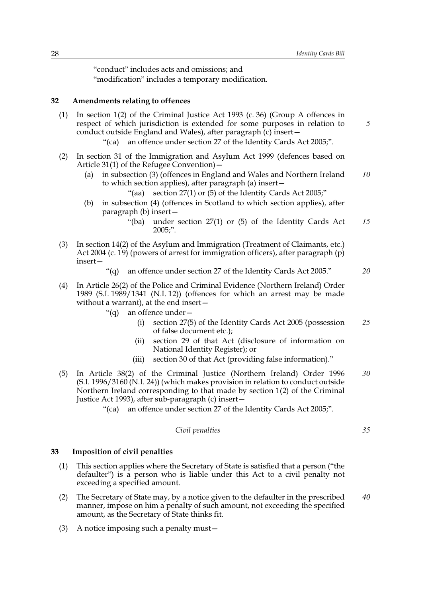"conduct" includes acts and omissions: and "modification" includes a temporary modification.

#### $32$ Amendments relating to offences

In section 1(2) of the Criminal Justice Act 1993 (c. 36) (Group A offences in  $(1)$ respect of which jurisdiction is extended for some purposes in relation to conduct outside England and Wales), after paragraph (c) insert-

> " $(ca)$ an offence under section 27 of the Identity Cards Act 2005;".

- In section 31 of the Immigration and Asylum Act 1999 (defences based on  $(2)$ Article  $31(1)$  of the Refugee Convention)  $$ 
	- in subsection (3) (offences in England and Wales and Northern Ireland 10  $(a)$ to which section applies), after paragraph (a) insert-
		- "(aa) section  $27(1)$  or (5) of the Identity Cards Act 2005;"
	- (b) in subsection (4) (offences in Scotland to which section applies), after paragraph (b) insert
		- under section  $27(1)$  or  $(5)$  of the Identity Cards Act " $(ba)$  $15$  $2005$ :".
- In section 14(2) of the Asylum and Immigration (Treatment of Claimants, etc.)  $(3)$ Act 2004 (c. 19) (powers of arrest for immigration officers), after paragraph (p) insert-

"(q) an offence under section 27 of the Identity Cards Act 2005."

20

 $\overline{5}$ 

In Article 26(2) of the Police and Criminal Evidence (Northern Ireland) Order  $(4)$ 1989 (S.I. 1989/1341 (N.I. 12)) (offences for which an arrest may be made without a warrant), at the end insert-

> an offence under-" $(q)$ "

- section 27(5) of the Identity Cards Act 2005 (possession 25  $(i)$ of false document etc.);
- section 29 of that Act (disclosure of information on  $(ii)$ National Identity Register); or
- section 30 of that Act (providing false information)."  $(iii)$
- In Article 38(2) of the Criminal Justice (Northern Ireland) Order 1996 30  $(5)$ (S.I. 1996/3160 (N.I. 24)) (which makes provision in relation to conduct outside Northern Ireland corresponding to that made by section 1(2) of the Criminal Justice Act 1993), after sub-paragraph (c) insert-
	- "(ca) an offence under section 27 of the Identity Cards Act 2005;".

35

#### 33 Imposition of civil penalties

- This section applies where the Secretary of State is satisfied that a person ("the  $(1)$ defaulter") is a person who is liable under this Act to a civil penalty not exceeding a specified amount.
- The Secretary of State may, by a notice given to the defaulter in the prescribed  $40$  $(2)$ manner, impose on him a penalty of such amount, not exceeding the specified amount, as the Secretary of State thinks fit.
- $(3)$  A notice imposing such a penalty must –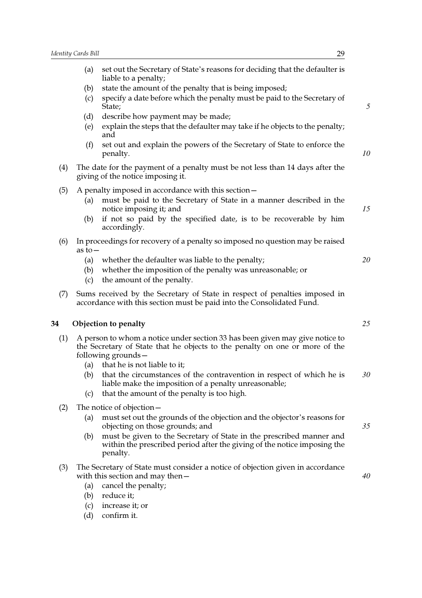$(4)$ 

 $(5)$ 

 $(6)$ 

 $(7)$ 

 $(1)$ 

 $(2)$ 

 $(3)$ 

| (a)        | set out the Secretary of State's reasons for deciding that the defaulter is<br>liable to a penalty;                                                                                                               |    |
|------------|-------------------------------------------------------------------------------------------------------------------------------------------------------------------------------------------------------------------|----|
| (b)        | state the amount of the penalty that is being imposed;                                                                                                                                                            |    |
| (c)        | specify a date before which the penalty must be paid to the Secretary of<br>State;                                                                                                                                | 5  |
| (d)        | describe how payment may be made;                                                                                                                                                                                 |    |
| (e)        | explain the steps that the defaulter may take if he objects to the penalty;<br>and                                                                                                                                |    |
| (f)        | set out and explain the powers of the Secretary of State to enforce the<br>penalty.                                                                                                                               | 10 |
|            | The date for the payment of a penalty must be not less than 14 days after the<br>giving of the notice imposing it.                                                                                                |    |
|            | A penalty imposed in accordance with this section -                                                                                                                                                               |    |
| (a)        | must be paid to the Secretary of State in a manner described in the<br>notice imposing it; and                                                                                                                    | 15 |
| (b)        | if not so paid by the specified date, is to be recoverable by him<br>accordingly.                                                                                                                                 |    |
| as to $-$  | In proceedings for recovery of a penalty so imposed no question may be raised                                                                                                                                     |    |
| (a)        | whether the defaulter was liable to the penalty;                                                                                                                                                                  | 20 |
| (b)<br>(c) | whether the imposition of the penalty was unreasonable; or<br>the amount of the penalty.                                                                                                                          |    |
|            | Sums received by the Secretary of State in respect of penalties imposed in<br>accordance with this section must be paid into the Consolidated Fund.                                                               |    |
|            | Objection to penalty                                                                                                                                                                                              | 25 |
| (a)        | A person to whom a notice under section 33 has been given may give notice to<br>the Secretary of State that he objects to the penalty on one or more of the<br>following grounds-<br>that he is not liable to it; |    |
| (b)        | that the circumstances of the contravention in respect of which he is<br>liable make the imposition of a penalty unreasonable;                                                                                    | 30 |
| (c)        | that the amount of the penalty is too high.                                                                                                                                                                       |    |
|            | The notice of objection $-$                                                                                                                                                                                       |    |
| (a)        | must set out the grounds of the objection and the objector's reasons for<br>objecting on those grounds; and                                                                                                       | 35 |
| (b)        | must be given to the Secretary of State in the prescribed manner and<br>within the prescribed period after the giving of the notice imposing the<br>penalty.                                                      |    |
|            | The Secretary of State must consider a notice of objection given in accordance                                                                                                                                    |    |
|            | with this section and may then $-$                                                                                                                                                                                | 40 |
| (a)        | cancel the penalty;                                                                                                                                                                                               |    |
| (b)        | reduce it;                                                                                                                                                                                                        |    |
|            | $(c)$ increase it or                                                                                                                                                                                              |    |

- 
- (c) increase it;<br>(d) confirm it.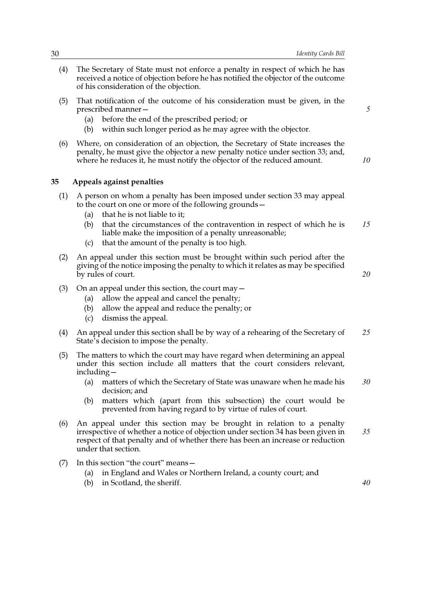- $(4)$ The Secretary of State must not enforce a penalty in respect of which he has received a notice of objection before he has notified the objector of the outcome of his consideration of the objection.
- That notification of the outcome of his consideration must be given, in the  $(5)$ prescribed manner-
	- (a) before the end of the prescribed period; or
	- within such longer period as he may agree with the objector.  $(b)$
- $(6)$ Where, on consideration of an objection, the Secretary of State increases the penalty, he must give the objector a new penalty notice under section 33; and, where he reduces it, he must notify the objector of the reduced amount.

#### 35 Appeals against penalties

- $(1)$ A person on whom a penalty has been imposed under section 33 may appeal to the court on one or more of the following grounds –
	- that he is not liable to it;  $(a)$
	- $(b)$ that the circumstances of the contravention in respect of which he is  $15$ liable make the imposition of a penalty unreasonable;
	- that the amount of the penalty is too high.  $(c)$
- (2) An appeal under this section must be brought within such period after the giving of the notice imposing the penalty to which it relates as may be specified by rules of court.
- (3) On an appeal under this section, the court may  $$ 
	- allow the appeal and cancel the penalty;  $(a)$
	- $(b)$ allow the appeal and reduce the penalty; or
	- $(c)$ dismiss the appeal.
- An appeal under this section shall be by way of a rehearing of the Secretary of 25  $(4)$ State's decision to impose the penalty.
- The matters to which the court may have regard when determining an appeal  $(5)$ under this section include all matters that the court considers relevant, including
	- matters of which the Secretary of State was unaware when he made his 30  $(a)$ decision; and
	- matters which (apart from this subsection) the court would be  $(b)$ prevented from having regard to by virtue of rules of court.
- An appeal under this section may be brought in relation to a penalty  $(6)$ 35 irrespective of whether a notice of objection under section 34 has been given in respect of that penalty and of whether there has been an increase or reduction under that section.
- $(7)$  In this section "the court" means
	- in England and Wales or Northern Ireland, a county court; and  $(a)$
	- $(b)$ in Scotland, the sheriff.

5

 $10<sup>2</sup>$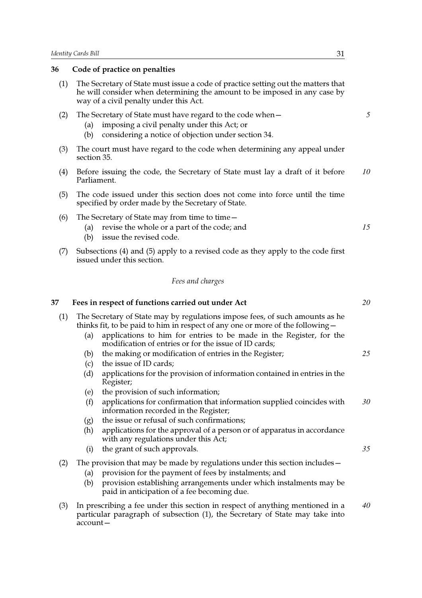#### Code of practice on penalties 36

- The Secretary of State must issue a code of practice setting out the matters that  $(1)$ he will consider when determining the amount to be imposed in any case by way of a civil penalty under this Act.
- (2) The Secretary of State must have regard to the code when
	- imposing a civil penalty under this Act; or  $(a)$
	- considering a notice of objection under section 34.  $(b)$
- The court must have regard to the code when determining any appeal under  $(3)$ section 35.
- Before issuing the code, the Secretary of State must lay a draft of it before 10  $(4)$ Parliament.
- The code issued under this section does not come into force until the time  $(5)$ specified by order made by the Secretary of State.
- The Secretary of State may from time to time - $(6)$ 
	- revise the whole or a part of the code; and  $(a)$
	- issue the revised code. (b)
- Subsections (4) and (5) apply to a revised code as they apply to the code first  $(7)$ issued under this section.

### Fees and charges

#### 37 Fees in respect of functions carried out under Act The Secretary of State may by regulations impose fees, of such amounts as he  $(1)$ thinks fit, to be paid to him in respect of any one or more of the following applications to him for entries to be made in the Register, for the  $(a)$ modification of entries or for the issue of ID cards; the making or modification of entries in the Register;  $(b)$ the issue of ID cards;  $(c)$  $(d)$ applications for the provision of information contained in entries in the Register; the provision of such information; (e) applications for confirmation that information supplied coincides with  $(f)$ information recorded in the Register; the issue or refusal of such confirmations;  $(g)$ applications for the approval of a person or of apparatus in accordance  $(h)$ with any regulations under this Act; the grant of such approvals.  $(i)$

# (2) The provision that may be made by regulations under this section includes  $-$

- provision for the payment of fees by instalments; and  $(a)$
- provision establishing arrangements under which instalments may be  $(b)$ paid in anticipation of a fee becoming due.
- In prescribing a fee under this section in respect of anything mentioned in a  $40$  $(3)$ particular paragraph of subsection (1), the Secretary of State may take into  $account -$

5

20

25

30

35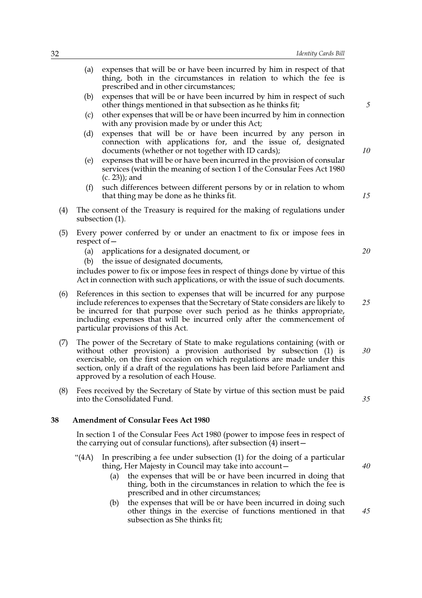- expenses that will be or have been incurred by him in respect of that  $(a)$ thing, both in the circumstances in relation to which the fee is prescribed and in other circumstances; expenses that will be or have been incurred by him in respect of such  $(b)$ 5 other things mentioned in that subsection as he thinks fit; other expenses that will be or have been incurred by him in connection  $(c)$ with any provision made by or under this Act; expenses that will be or have been incurred by any person in  $(d)$ connection with applications for, and the issue of, designated documents (whether or not together with ID cards); 10 expenses that will be or have been incurred in the provision of consular (e) services (within the meaning of section 1 of the Consular Fees Act 1980  $(c. 23)$ ; and such differences between different persons by or in relation to whom  $(f)$ that thing may be done as he thinks fit.  $15$ The consent of the Treasury is required for the making of regulations under subsection  $(1)$ . Every power conferred by or under an enactment to fix or impose fees in respect of-(a) applications for a designated document, or 20 (b) the issue of designated documents, includes power to fix or impose fees in respect of things done by virtue of this Act in connection with such applications, or with the issue of such documents. References in this section to expenses that will be incurred for any purpose
- $(6)$ 25 include references to expenses that the Secretary of State considers are likely to be incurred for that purpose over such period as he thinks appropriate, including expenses that will be incurred only after the commencement of particular provisions of this Act.
- $(7)$ The power of the Secretary of State to make regulations containing (with or without other provision) a provision authorised by subsection (1) is 30 exercisable, on the first occasion on which regulations are made under this section, only if a draft of the regulations has been laid before Parliament and approved by a resolution of each House.
- $(8)$ Fees received by the Secretary of State by virtue of this section must be paid into the Consolidated Fund.

#### 38 **Amendment of Consular Fees Act 1980**

In section 1 of the Consular Fees Act 1980 (power to impose fees in respect of the carrying out of consular functions), after subsection  $\overline{4}$  insert –

- " $(4A)$ In prescribing a fee under subsection (1) for the doing of a particular thing, Her Majesty in Council may take into account –
	- the expenses that will be or have been incurred in doing that  $(a)$ thing, both in the circumstances in relation to which the fee is prescribed and in other circumstances;
	- the expenses that will be or have been incurred in doing such (b) other things in the exercise of functions mentioned in that subsection as She thinks fit;

 $(4)$ 

 $(5)$ 

40

45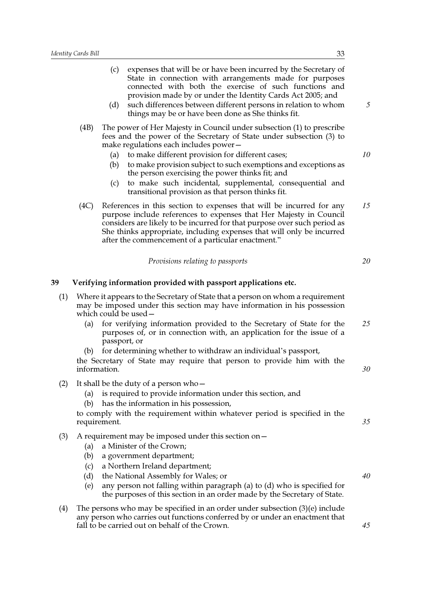| 5  | expenses that will be or have been incurred by the Secretary of<br>(c)<br>State in connection with arrangements made for purposes<br>connected with both the exercise of such functions and<br>provision made by or under the Identity Cards Act 2005; and<br>such differences between different persons in relation to whom<br>(d)<br>things may be or have been done as She thinks fit.                                                                                                                     |
|----|---------------------------------------------------------------------------------------------------------------------------------------------------------------------------------------------------------------------------------------------------------------------------------------------------------------------------------------------------------------------------------------------------------------------------------------------------------------------------------------------------------------|
| 10 | (4B)<br>The power of Her Majesty in Council under subsection (1) to prescribe<br>fees and the power of the Secretary of State under subsection (3) to<br>make regulations each includes power-<br>to make different provision for different cases;<br>(a)<br>to make provision subject to such exemptions and exceptions as<br>(b)<br>the person exercising the power thinks fit; and<br>to make such incidental, supplemental, consequential and<br>(c)<br>transitional provision as that person thinks fit. |
| 15 | (4C)<br>References in this section to expenses that will be incurred for any<br>purpose include references to expenses that Her Majesty in Council<br>considers are likely to be incurred for that purpose over such period as<br>She thinks appropriate, including expenses that will only be incurred<br>after the commencement of a particular enactment."                                                                                                                                                 |
| 20 | Provisions relating to passports                                                                                                                                                                                                                                                                                                                                                                                                                                                                              |
|    | Verifying information provided with passport applications etc.                                                                                                                                                                                                                                                                                                                                                                                                                                                |
|    | Where it appears to the Secretary of State that a person on whom a requirement<br>(1)<br>may be imposed under this section may have information in his possession<br>which could be used -                                                                                                                                                                                                                                                                                                                    |
| 25 | for verifying information provided to the Secretary of State for the<br>(a)<br>purposes of, or in connection with, an application for the issue of a<br>passport, or                                                                                                                                                                                                                                                                                                                                          |
| 30 | for determining whether to withdraw an individual's passport,<br>(b)<br>the Secretary of State may require that person to provide him with the<br>information.                                                                                                                                                                                                                                                                                                                                                |
| 35 | It shall be the duty of a person who $-$<br>(2)<br>is required to provide information under this section, and<br>(a)<br>has the information in his possession,<br>(b)<br>to comply with the requirement within whatever period is specified in the<br>requirement.                                                                                                                                                                                                                                            |
| 40 | A requirement may be imposed under this section on $-$<br>(3)<br>a Minister of the Crown;<br>(a)<br>a government department;<br>(b)<br>a Northern Ireland department;<br>(c)<br>the National Assembly for Wales; or<br>(d)<br>any person not falling within paragraph (a) to (d) who is specified for<br>(e)<br>the purposes of this section in an order made by the Secretary of State.                                                                                                                      |
| 45 | The persons who may be specified in an order under subsection $(3)(e)$ include<br>(4)<br>any person who carries out functions conferred by or under an enactment that<br>fall to be carried out on behalf of the Crown.                                                                                                                                                                                                                                                                                       |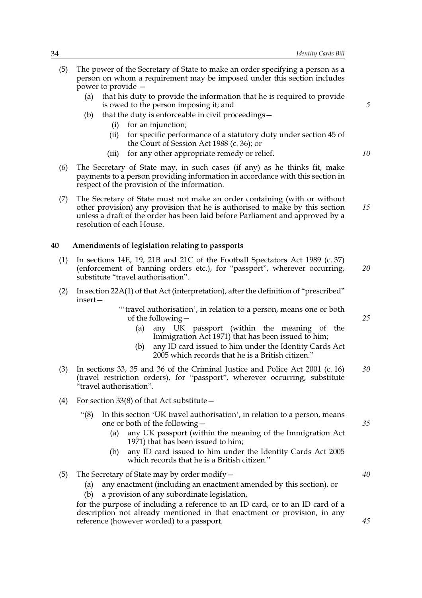- (5) The power of the Secretary of State to make an order specifying a person as a person on whom a requirement may be imposed under this section includes power to provide  $-$ 
	- (a) that his duty to provide the information that he is required to provide is owed to the person imposing it; and
	- that the duty is enforceable in civil proceedings - $(b)$ 
		- $(i)$ for an injunction;
		- for specific performance of a statutory duty under section 45 of  $(ii)$ the Court of Session Act 1988 (c. 36); or
		- for any other appropriate remedy or relief.  $(iii)$
- (6) The Secretary of State may, in such cases (if any) as he thinks fit, make payments to a person providing information in accordance with this section in respect of the provision of the information.
- The Secretary of State must not make an order containing (with or without  $(7)$ other provision) any provision that he is authorised to make by this section  $15$ unless a draft of the order has been laid before Parliament and approved by a resolution of each House.

#### 40 Amendments of legislation relating to passports

- (1) In sections 14E, 19, 21B and 21C of the Football Spectators Act 1989 (c. 37) (enforcement of banning orders etc.), for "passport", wherever occurring, 20 substitute "travel authorisation".
- (2) In section 22A(1) of that Act (interpretation), after the definition of "prescribed" insert-

"travel authorisation', in relation to a person, means one or both of the following -

- any UK passport (within the meaning of the  $(a)$ Immigration Act 1971) that has been issued to him;
- any ID card issued to him under the Identity Cards Act (b) 2005 which records that he is a British citizen."
- 30 (3) In sections 33, 35 and 36 of the Criminal Justice and Police Act 2001 (c. 16) (travel restriction orders), for "passport", wherever occurring, substitute "travel authorisation".
- (4) For section 33(8) of that Act substitute  $-$ 
	- $``(8)$ In this section 'UK travel authorisation', in relation to a person, means one or both of the following
		- any UK passport (within the meaning of the Immigration Act  $(a)$ 1971) that has been issued to him;
		- any ID card issued to him under the Identity Cards Act 2005  $(b)$ which records that he is a British citizen."
- (5) The Secretary of State may by order modify  $-$ 
	- (a) any enactment (including an enactment amended by this section), or
	- a provision of any subordinate legislation,  $(b)$

for the purpose of including a reference to an ID card, or to an ID card of a description not already mentioned in that enactment or provision, in any reference (however worded) to a passport.

25

5

 $10<sup>2</sup>$ 

35

40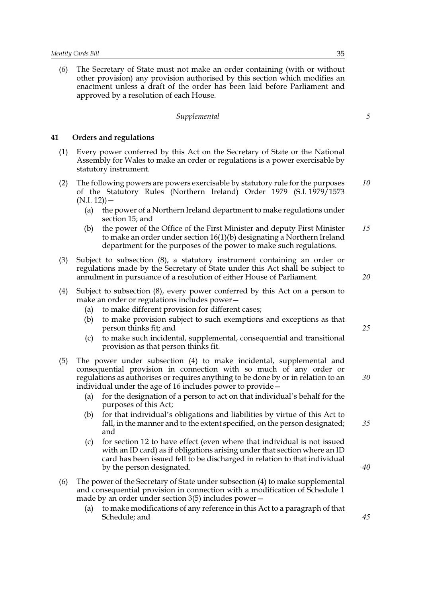The Secretary of State must not make an order containing (with or without  $(6)$ other provision) any provision authorised by this section which modifies an enactment unless a draft of the order has been laid before Parliament and approved by a resolution of each House.

### Supplemental

#### 41 Orders and regulations

- Every power conferred by this Act on the Secretary of State or the National  $(1)$ Assembly for Wales to make an order or regulations is a power exercisable by statutory instrument.
- $(2)$ The following powers are powers exercisable by statutory rule for the purposes  $10<sup>2</sup>$ of the Statutory Rules (Northern Ireland) Order 1979 (S.I. 1979/1573  $(N.I. 12)$ ) –
	- (a) the power of a Northern Ireland department to make regulations under section 15; and
	- $(b)$ the power of the Office of the First Minister and deputy First Minister 15 to make an order under section  $16(1)(b)$  designating a Northern Ireland department for the purposes of the power to make such regulations.
- (3) Subject to subsection (8), a statutory instrument containing an order or regulations made by the Secretary of State under this Act shall be subject to annulment in pursuance of a resolution of either House of Parliament.
- Subject to subsection (8), every power conferred by this Act on a person to  $(4)$ make an order or regulations includes power
	- to make different provision for different cases;  $(a)$
	- to make provision subject to such exemptions and exceptions as that  $(b)$ person thinks fit; and
	- to make such incidental, supplemental, consequential and transitional  $(c)$ provision as that person thinks fit.
- The power under subsection (4) to make incidental, supplemental and  $(5)$ consequential provision in connection with so much of any order or regulations as authorises or requires anything to be done by or in relation to an individual under the age of 16 includes power to provide –
	- for the designation of a person to act on that individual's behalf for the  $(a)$ purposes of this Act;
	- for that individual's obligations and liabilities by virtue of this Act to  $(b)$ fall, in the manner and to the extent specified, on the person designated; and
	- for section 12 to have effect (even where that individual is not issued  $(c)$ with an ID card) as if obligations arising under that section where an ID card has been issued fell to be discharged in relation to that individual by the person designated.
- The power of the Secretary of State under subsection (4) to make supplemental  $(6)$ and consequential provision in connection with a modification of Schedule 1 made by an order under section  $3(5)$  includes power  $$ 
	- to make modifications of any reference in this Act to a paragraph of that  $(a)$ Schedule; and

25

30

35

20

 $40$ 

45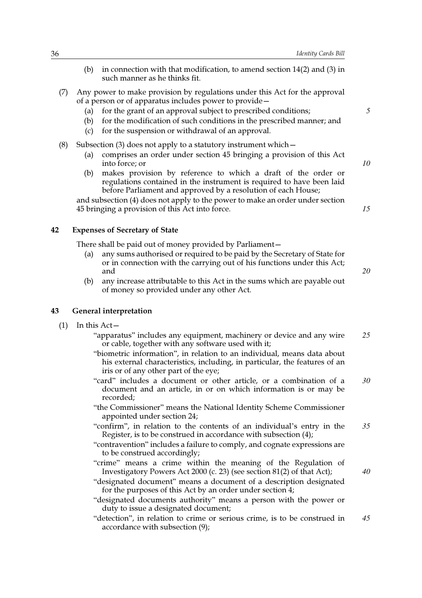5

 $10<sup>2</sup>$ 

 $15$ 

20

- in connection with that modification, to amend section 14(2) and (3) in  $(b)$ such manner as he thinks fit.
- Any power to make provision by regulations under this Act for the approval  $(7)$ of a person or of apparatus includes power to provide -
	- (a) for the grant of an approval subject to prescribed conditions;
	- (b) for the modification of such conditions in the prescribed manner; and
	- for the suspension or withdrawal of an approval.  $(c)$
- (8) Subsection (3) does not apply to a statutory instrument which  $$ 
	- comprises an order under section 45 bringing a provision of this Act  $(a)$ into force; or
	- makes provision by reference to which a draft of the order or  $(b)$ regulations contained in the instrument is required to have been laid before Parliament and approved by a resolution of each House;

and subsection (4) does not apply to the power to make an order under section 45 bringing a provision of this Act into force.

#### 42 **Expenses of Secretary of State**

There shall be paid out of money provided by Parliament-

- any sums authorised or required to be paid by the Secretary of State for  $(a)$ or in connection with the carrying out of his functions under this Act; and
- $(b)$ any increase attributable to this Act in the sums which are payable out of money so provided under any other Act.

#### 43 General interpretation

- $(1)$  In this Act-
	- "apparatus" includes any equipment, machinery or device and any wire 25 or cable, together with any software used with it;
	- "biometric information", in relation to an individual, means data about his external characteristics, including, in particular, the features of an iris or of any other part of the eye;
	- "card" includes a document or other article, or a combination of a 30 document and an article, in or on which information is or may be recorded;
	- "the Commissioner" means the National Identity Scheme Commissioner appointed under section 24;
	- "confirm", in relation to the contents of an individual's entry in the Register, is to be construed in accordance with subsection (4);
	- "contravention" includes a failure to comply, and cognate expressions are to be construed accordingly;
	- "crime" means a crime within the meaning of the Regulation of Investigatory Powers Act 2000 (c. 23) (see section 81(2) of that Act);
	- "designated document" means a document of a description designated for the purposes of this Act by an order under section 4;
	- "designated documents authority" means a person with the power or duty to issue a designated document;
	- "detection", in relation to crime or serious crime, is to be construed in  $45$ accordance with subsection (9);

 $40$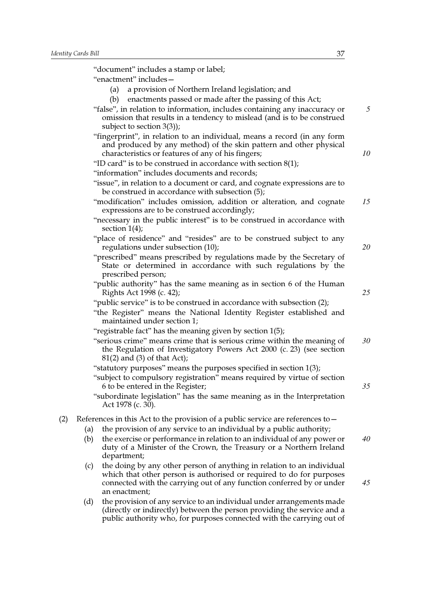$(2)$ 

"document" includes a stamp or label; "enactment" includesa provision of Northern Ireland legislation; and  $(a)$ (b) enactments passed or made after the passing of this Act; "false", in relation to information, includes containing any inaccuracy or 5 omission that results in a tendency to mislead (and is to be construed subject to section  $3(3)$ ; "fingerprint", in relation to an individual, means a record (in any form and produced by any method) of the skin pattern and other physical characteristics or features of any of his fingers;  $10<sup>2</sup>$ "ID card" is to be construed in accordance with section  $8(1)$ ; "information" includes documents and records; "issue", in relation to a document or card, and cognate expressions are to be construed in accordance with subsection (5); "modification" includes omission, addition or alteration, and cognate  $15$ expressions are to be construed accordingly; "necessary in the public interest" is to be construed in accordance with section  $1(4)$ ; "place of residence" and "resides" are to be construed subject to any regulations under subsection (10); 20 "prescribed" means prescribed by regulations made by the Secretary of State or determined in accordance with such regulations by the prescribed person; "public authority" has the same meaning as in section 6 of the Human Rights Act 1998 (c. 42); 25 "public service" is to be construed in accordance with subsection (2); "the Register" means the National Identity Register established and maintained under section 1; "registrable fact" has the meaning given by section 1(5); "serious crime" means crime that is serious crime within the meaning of 30 the Regulation of Investigatory Powers Act 2000 (c. 23) (see section  $81(2)$  and (3) of that Act); "statutory purposes" means the purposes specified in section  $1(3)$ ; "subject to compulsory registration" means required by virtue of section 35 6 to be entered in the Register; "subordinate legislation" has the same meaning as in the Interpretation Act 1978 (c. 30). References in this Act to the provision of a public service are references to – the provision of any service to an individual by a public authority;  $(a)$ the exercise or performance in relation to an individual of any power or  $(b)$ 40 duty of a Minister of the Crown, the Treasury or a Northern Ireland department; the doing by any other person of anything in relation to an individual  $(c)$ which that other person is authorised or required to do for purposes 45 connected with the carrying out of any function conferred by or under an enactment; the provision of any service to an individual under arrangements made  $(d)$ (directly or indirectly) between the person providing the service and a

public authority who, for purposes connected with the carrying out of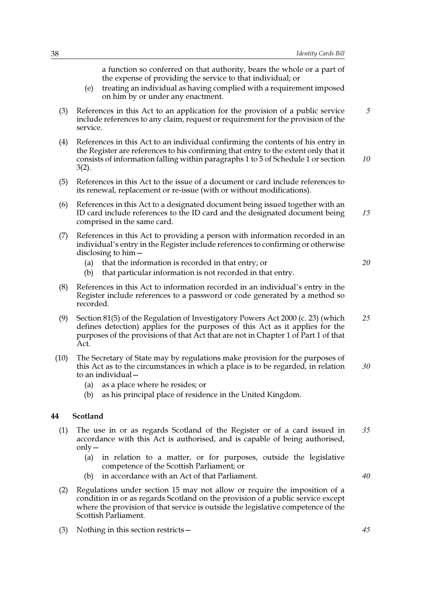a function so conferred on that authority, bears the whole or a part of the expense of providing the service to that individual; or

- treating an individual as having complied with a requirement imposed (e) on him by or under any enactment.
- 5  $(3)$ References in this Act to an application for the provision of a public service include references to any claim, request or requirement for the provision of the service.
- References in this Act to an individual confirming the contents of his entry in  $(4)$ the Register are references to his confirming that entry to the extent only that it consists of information falling within paragraphs 1 to 5 of Schedule 1 or section 10  $3(2)$ .
- References in this Act to the issue of a document or card include references to  $(5)$ its renewal, replacement or re-issue (with or without modifications).
- $(6)$ References in this Act to a designated document being issued together with an ID card include references to the ID card and the designated document being 15 comprised in the same card.
- References in this Act to providing a person with information recorded in an  $(7)$ individual's entry in the Register include references to confirming or otherwise disclosing to  $him -$ 
	- (a) that the information is recorded in that entry; or

20

- that particular information is not recorded in that entry. (b)
- $(8)$ References in this Act to information recorded in an individual's entry in the Register include references to a password or code generated by a method so recorded.
- Section 81(5) of the Regulation of Investigatory Powers Act 2000 (c. 23) (which 25  $(9)$ defines detection) applies for the purposes of this Act as it applies for the purposes of the provisions of that Act that are not in Chapter 1 of Part 1 of that Act.
- $(10)$ The Secretary of State may by regulations make provision for the purposes of this Act as to the circumstances in which a place is to be regarded, in relation 30 to an individual -
	- (a) as a place where he resides; or
	- (b) as his principal place of residence in the United Kingdom.

#### 44 Scotland

- $(1)$ The use in or as regards Scotland of the Register or of a card issued in 35 accordance with this Act is authorised, and is capable of being authorised,  $\text{only}$ 
	- (a) in relation to a matter, or for purposes, outside the legislative competence of the Scottish Parliament; or
	- (b) in accordance with an Act of that Parliament.
- $(2)$ Regulations under section 15 may not allow or require the imposition of a condition in or as regards Scotland on the provision of a public service except where the provision of that service is outside the legislative competence of the Scottish Parliament.
- $(3)$  Nothing in this section restricts –

45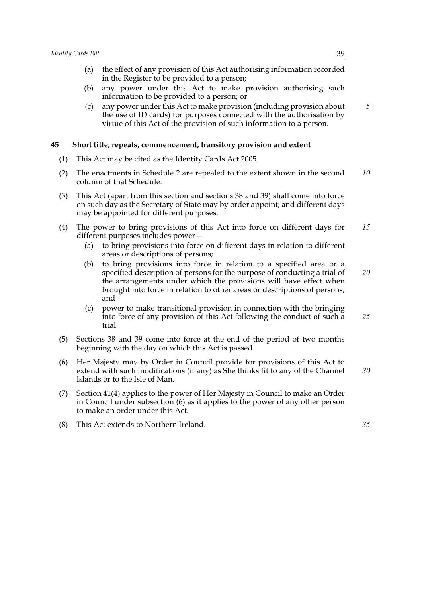- the effect of any provision of this Act authorising information recorded  $(a)$ in the Register to be provided to a person;
- any power under this Act to make provision authorising such  $(b)$ information to be provided to a person; or
- any power under this Act to make provision (including provision about  $\overline{5}$  $(c)$ the use of ID cards) for purposes connected with the authorisation by virtue of this Act of the provision of such information to a person.

#### 45 Short title, repeals, commencement, transitory provision and extent

- (1) This Act may be cited as the Identity Cards Act 2005.
- $(2)$ The enactments in Schedule 2 are repealed to the extent shown in the second  $10<sup>2</sup>$ column of that Schedule.
- $(3)$ This Act (apart from this section and sections 38 and 39) shall come into force on such day as the Secretary of State may by order appoint; and different days may be appointed for different purposes.
- $(4)$ The power to bring provisions of this Act into force on different days for 15 different purposes includes power
	- to bring provisions into force on different days in relation to different  $(a)$ areas or descriptions of persons;
	- to bring provisions into force in relation to a specified area or a  $(b)$ specified description of persons for the purpose of conducting a trial of 20 the arrangements under which the provisions will have effect when brought into force in relation to other areas or descriptions of persons; and
	- power to make transitional provision in connection with the bringing  $(c)$ into force of any provision of this Act following the conduct of such a 25 trial.
- Sections 38 and 39 come into force at the end of the period of two months  $(5)$ beginning with the day on which this Act is passed.
- Her Majesty may by Order in Council provide for provisions of this Act to  $(6)$ extend with such modifications (if any) as She thinks fit to any of the Channel  $30^{\circ}$ Islands or to the Isle of Man.
- Section 41(4) applies to the power of Her Majesty in Council to make an Order  $(7)$ in Council under subsection (6) as it applies to the power of any other person to make an order under this Act.
- This Act extends to Northern Ireland.  $(8)$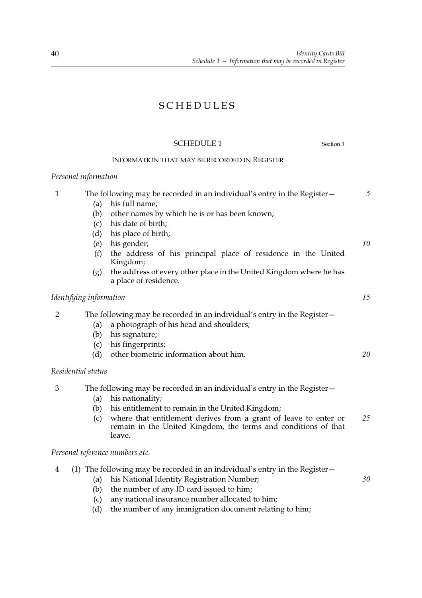# **SCHEDULES**

# **SCHEDULE 1**

Section 3

# INFORMATION THAT MAY BE RECORDED IN REGISTER

# Personal information

| $\mathbf{1}$   |                         | The following may be recorded in an individual's entry in the Register-                                                                      | 5  |
|----------------|-------------------------|----------------------------------------------------------------------------------------------------------------------------------------------|----|
|                | (a)                     | his full name;                                                                                                                               |    |
|                | (b)                     | other names by which he is or has been known;                                                                                                |    |
|                | (c)                     | his date of birth;                                                                                                                           |    |
|                | (d)                     | his place of birth;                                                                                                                          |    |
|                | (e)                     | his gender;                                                                                                                                  | 10 |
|                | (f)                     | the address of his principal place of residence in the United<br>Kingdom;                                                                    |    |
|                | (g)                     | the address of every other place in the United Kingdom where he has<br>a place of residence.                                                 |    |
|                | Identifying information |                                                                                                                                              | 15 |
| $\overline{2}$ |                         | The following may be recorded in an individual's entry in the Register-                                                                      |    |
|                | (a)                     | a photograph of his head and shoulders;                                                                                                      |    |
|                | (b)                     | his signature;                                                                                                                               |    |
|                | (c)                     | his fingerprints;                                                                                                                            |    |
|                | (d)                     | other biometric information about him.                                                                                                       | 20 |
|                | Residential status      |                                                                                                                                              |    |
| 3              |                         | The following may be recorded in an individual's entry in the Register-                                                                      |    |
|                | (a)                     | his nationality;                                                                                                                             |    |
|                | (b)                     | his entitlement to remain in the United Kingdom;                                                                                             |    |
|                | (c)                     | where that entitlement derives from a grant of leave to enter or<br>remain in the United Kingdom, the terms and conditions of that<br>leave. | 25 |
|                |                         | Personal reference numbers etc.                                                                                                              |    |
| 4              |                         | (1) The following may be recorded in an individual's entry in the Register $-$                                                               |    |
|                | (a)                     | his National Identity Registration Number;                                                                                                   | 30 |
|                | (b)                     | the number of any ID card issued to him;                                                                                                     |    |
|                |                         |                                                                                                                                              |    |

- (c) any national insurance number allocated to him;
- (d) the number of any immigration document relating to him;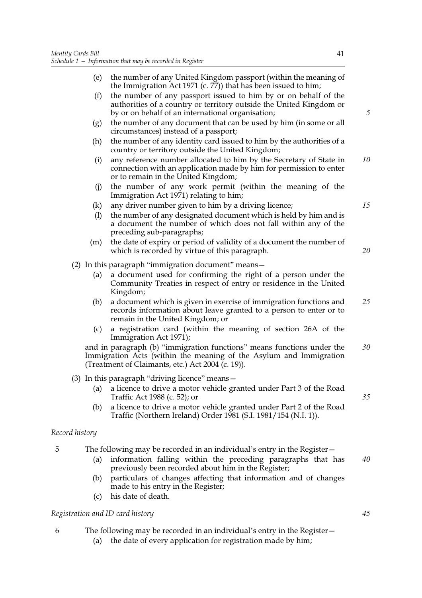- the number of any United Kingdom passport (within the meaning of (e) the Immigration Act 1971 (c. 77)) that has been issued to him;
- the number of any passport issued to him by or on behalf of the  $(f)$ authorities of a country or territory outside the United Kingdom or by or on behalf of an international organisation;
- the number of any document that can be used by him (in some or all  $(g)$ circumstances) instead of a passport;
- the number of any identity card issued to him by the authorities of a  $(h)$ country or territory outside the United Kingdom;
- any reference number allocated to him by the Secretary of State in  $10<sup>°</sup>$  $(i)$ connection with an application made by him for permission to enter or to remain in the United Kingdom;
- the number of any work permit (within the meaning of the  $(i)$ Immigration Act 1971) relating to him;
- any driver number given to him by a driving licence;  $(k)$
- the number of any designated document which is held by him and is  $(1)$ a document the number of which does not fall within any of the preceding sub-paragraphs;
- the date of expiry or period of validity of a document the number of  $(m)$ which is recorded by virtue of this paragraph.
- (2) In this paragraph "immigration document" means $$ 
	- a document used for confirming the right of a person under the  $(a)$ Community Treaties in respect of entry or residence in the United Kingdom;
	- a document which is given in exercise of immigration functions and 25  $(b)$ records information about leave granted to a person to enter or to remain in the United Kingdom; or
	- a registration card (within the meaning of section 26A of the  $(c)$ Immigration Act 1971);

and in paragraph (b) "immigration functions" means functions under the  $30<sup>°</sup>$ Immigration Acts (within the meaning of the Asylum and Immigration (Treatment of Claimants, etc.) Act 2004 (c. 19)).

- (3) In this paragraph "driving licence" means
	- a licence to drive a motor vehicle granted under Part 3 of the Road  $(a)$ Traffic Act 1988 (c. 52); or
	- $(b)$ a licence to drive a motor vehicle granted under Part 2 of the Road Traffic (Northern Ireland) Order 1981 (S.I. 1981/154 (N.I. 1)).

# Record history

5 The following may be recorded in an individual's entry in the Register-

- information falling within the preceding paragraphs that has 40  $(a)$ previously been recorded about him in the Register;
- particulars of changes affecting that information and of changes  $(b)$ made to his entry in the Register;
- (c) his date of death.

# Registration and ID card history

- 6 The following may be recorded in an individual's entry in the Register-
	- (a) the date of every application for registration made by him;

35

15

20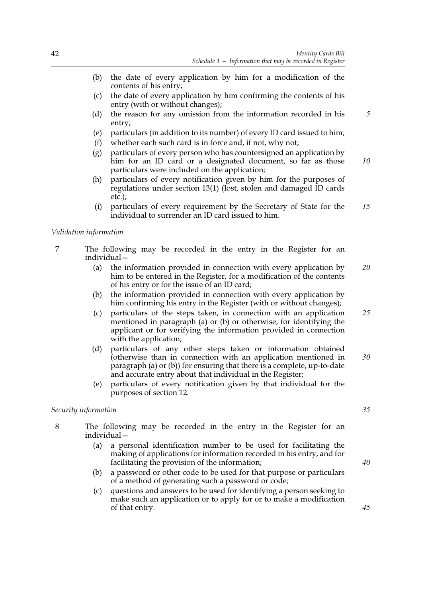- the date of every application by him for a modification of the  $(b)$ contents of his entry;
- the date of every application by him confirming the contents of his  $(c)$ entry (with or without changes);
- the reason for any omission from the information recorded in his  $(d)$ entry:
- particulars (in addition to its number) of every ID card issued to him; (e)
- $(f)$ whether each such card is in force and, if not, why not;
- particulars of every person who has countersigned an application by  $(g)$ him for an ID card or a designated document, so far as those  $10<sup>10</sup>$ particulars were included on the application;
- particulars of every notification given by him for the purposes of  $(h)$ regulations under section 13(1) (lost, stolen and damaged ID cards  $etc.$ );
- particulars of every requirement by the Secretary of State for the  $15$  $(i)$ individual to surrender an ID card issued to him.

## Validation information

- 7 The following may be recorded in the entry in the Register for an individual
	- the information provided in connection with every application by 20  $(a)$ him to be entered in the Register, for a modification of the contents of his entry or for the issue of an ID card;
	- the information provided in connection with every application by  $(b)$ him confirming his entry in the Register (with or without changes);
	- particulars of the steps taken, in connection with an application  $(c)$ 25 mentioned in paragraph (a) or (b) or otherwise, for identifying the applicant or for verifying the information provided in connection with the application;
	- particulars of any other steps taken or information obtained  $(d)$ (otherwise than in connection with an application mentioned in 30 paragraph (a) or (b)) for ensuring that there is a complete, up-to-date and accurate entry about that individual in the Register;
	- particulars of every notification given by that individual for the (e) purposes of section 12.

### Security information

- 8 The following may be recorded in the entry in the Register for an individual
	- a personal identification number to be used for facilitating the  $(a)$ making of applications for information recorded in his entry, and for facilitating the provision of the information;
	- a password or other code to be used for that purpose or particulars  $(b)$ of a method of generating such a password or code;
	- questions and answers to be used for identifying a person seeking to  $(c)$ make such an application or to apply for or to make a modification of that entry.

35

 $\overline{5}$ 

40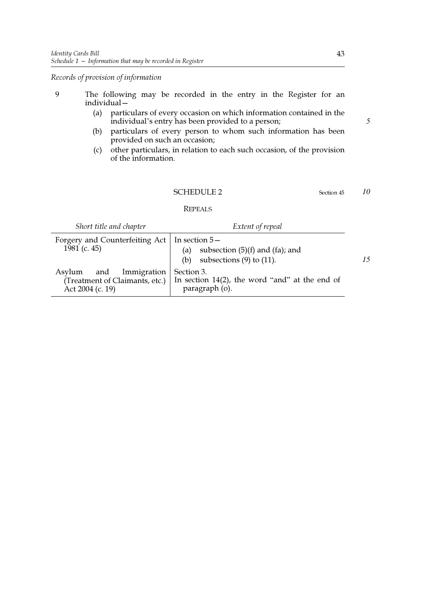Records of provision of information

- $\mathbf{Q}$ The following may be recorded in the entry in the Register for an individual
	- particulars of every occasion on which information contained in the  $(a)$ individual's entry has been provided to a person;
	- particulars of every person to whom such information has been<br>provided on such an occasion;  $(b)$
	- other particulars, in relation to each such occasion, of the provision  $(c)$ of the information.

# **SCHEDULE 2**

10 Section 45

### **REPEALS**

| Short title and chapter                                                            | Extent of repeal                                                                    |    |
|------------------------------------------------------------------------------------|-------------------------------------------------------------------------------------|----|
| Forgery and Counterfeiting Act   In section $5-$<br>1981 (c. 45)                   | subsection $(5)(f)$ and $(fa)$ ; and<br>(a)<br>subsections $(9)$ to $(11)$ .<br>(b) | 15 |
| Immigration<br>Asylum<br>and<br>(Treatment of Claimants, etc.)<br>Act 2004 (c. 19) | Section 3.<br>In section $14(2)$ , the word "and" at the end of<br>paragraph (o).   |    |

 $\overline{5}$